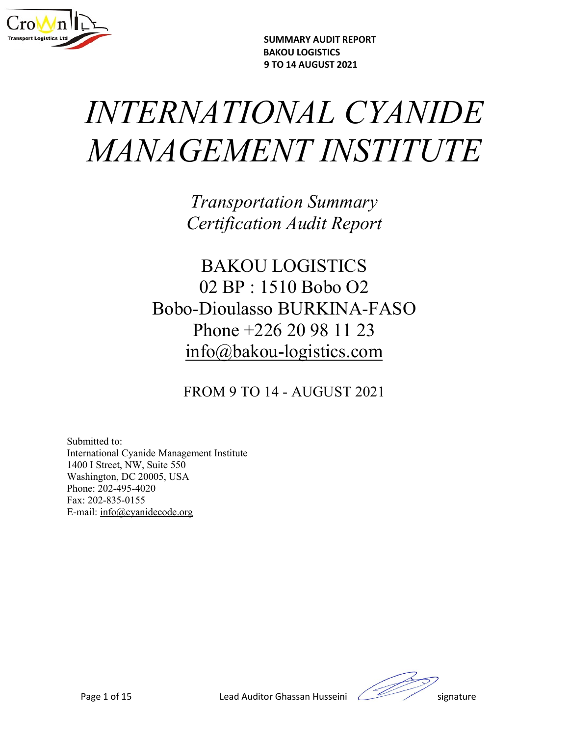

SUMMARY AUDIT REPORT

## SUMMARY AUDIT REPORT<br>BAKOU LOGISTICS<br>9 TO 14 AUGUST 2021<br>) NAL CYANIDE SUMMARY AUDIT REPORT<br>BAKOU LOGISTICS<br>9 TO 14 AUGUST 2021<br>) NAL CYANIDE SUMMARY AUDIT REPORT<br>BAKOU LOGISTICS<br>STO 14 AUGUST 2021<br>MANAGEMENT INSTITUTE SUMMARY AUDIT REPORT<br>
BAKOU LOGISTICS<br>
9 TO 14 AUGUST 2021<br>
MANA GEMENT INSTITUTE<br>
Transportation Summary<br>
Curtification Summary SUMMARY AUDIT REPORT<br>BAKOU LOGISTICS<br>VATIONAL CYANIDE<br>GEMENT INSTITUTE<br>Transportation Summary<br>Certification Audit Report<br>RAKOULL OGISTICS SUMMARY AUDIT REPORT<br>
BAKOU LOGISTICS<br>
SEMENT INSTITUTE<br>
Transportation Summary<br>
Certification Audit Report<br>
BAKOU LOGISTICS<br>
02 BP : 1510 Bobo 02 SUMMARY AUDIT REPORT<br>
BAKOU LOGISTICS<br>
FO 14 AUGUST 2021<br>
EMENT INSTITUTE<br>
Fransportation Summary<br>
pertification Audit Report<br>
BAKOU LOGISTICS<br>
02 BP : 1510 Bobo O2<br>
Dioulasso BURKINA-FASO<br>
phone +226.20.98.11.23

 $\begin{array}{l} \texttt{BAKOU LOGIST2021}\ \texttt{5} \texttt{16} \texttt{16} \texttt{16} \texttt{17} \texttt{17} \texttt{17} \texttt{17} \texttt{17} \texttt{17} \texttt{17} \texttt{17} \texttt{17} \texttt{17} \texttt{17} \texttt{17} \texttt{17} \texttt{17} \texttt{17} \texttt{17} \texttt{17} \texttt{17} \texttt{17} \texttt{17} \texttt{17} \texttt{17} \texttt{17} \texttt{17} \texttt$ ENATIONAL CYANIDE<br>
ENGEMENT INSTITUTE<br>
Transportation Summary<br>
Certification Audit Report<br>
BAKOU LOGISTICS<br>
02 BP : 1510 Bobo O2<br>
Bobo-Dioulasso BURKINA-FASO<br>
Phone +226 20 98 11 23<br>
info@bakou-logistics.com *IATIONAL CYANIDE<br>
FEMENT INSTITUTE<br>
Transportation Summary<br>
Certification Audit Report<br>
BAKOU LOGISTICS<br>
02 BP : 1510 Bobo O2<br>
-Dioulasso BURKINA-FASO<br>
Phone +226 20 98 11 23<br>
nfo@bakou-logistics.com<br>
ROM 9 TO 14 - AUGUST* info@bakou-logistics.com Transportation Summary<br>
Certification Audit Report<br>
BAKOU LOGISTICS<br>
02 BP : 1510 Bobo O2<br>
o-Dioulasso BURKINA-FASO<br>
Phone +226 20 98 11 23<br>
info@bakou-logistics.com<br>
FROM 9 TO 14 - AUGUST 2021  $Iransportation~Summary \label{eq:2} \vspace{2mm} \begin{minipage}[c]{0.9\linewidth} \begin{tabular}{c} \multicolumn{2}{c}{\textbf{Pr}}{} & \multicolumn{2}{c}{\textbf{Certification}} & \multicolumn{2}{c}{\textbf{MW}}{}\\ \multicolumn{2}{c}{\textbf{BAKOU LOGISTICS}}\\ \multicolumn{2}{c}{\textbf{02 BP : 1510 Bobo O2}}\\ \multicolumn{2}{c}{\textbf{Bobo-Dioulasso BURKINA-FASO}}\\ \multicolumn{2}{c}{\textbf{P}hone +226 20 98 11 23}\\ \multicolumn{2}{c}{\textbf$ Certification Audit Report<br>
BAKOU LOGISTICS<br>
02 BP : 1510 Bobo O2<br>
Bobo-Dioulasso BURKINA-FASO<br>
Phone +226 20 98 11 23<br>
<u>info@bakou-logistics.com</u><br>
FROM 9 TO 14 - AUGUST 2021<br>
Submitted to:<br>
International Cyanide Managemen Certification Attait Report<br>
BAKOU LOGISTICS<br>
02 BP : 1510 Bobo O2<br>
Bobo-Dioulasso BURKINA-FASO<br>
Phone +226 20 98 11 23<br>
<u>info@bakou-logistics.com</u><br>
FROM 9 TO 14 - AUGUST 2021<br>
Submitted to:<br>
Interactional Cyanide Manageme BAKOU LOGISTICS<br>
02 BP : 1510 Bobo O2<br>
Bobo-Dioulasso BURKINA-FASO<br>
Phone +226 20 98 11 23<br>
<u>info@bakou-logistics.com</u><br>
FROM 9 TO 14 - AUGUST 2021<br>
Submitted to:<br>
International Cyanide Management Institute<br>
Washington, DC BAKOU LOGISTICS<br>
02 BP : 1510 Bobo O2<br>
Bobo-Dioulasso BURKINA-FAS<br>
Phone +226 20 98 11 23<br>
<u>info@bakou-logistics.com</u><br>
FROM 9 TO 14 - AUGUST 2021<br>
Submitted to:<br>
International Cyanide Management Institute<br>
Washington, DC 2 BAKOU LOGISTICS<br>
02 BP : 1510 Bobo O2<br>
Bobo-Dioulasso BURKINA-FA<br>
Phone +226 20 98 11 23<br>
<u>info</u>@bakou-logistics.com<br>
FROM 9 TO 14 - AUGUST 2021<br>
Submitted to:<br>
International Cyanide Management Institute<br>
4001 Street, NW,  $2.11100000$ <br>  $0.211000000$ <br>  $0.211000000$ <br>  $0.211100000$ <br>  $0.21110000$ <br>  $0.211100000$ <br>  $0.21110000$ <br>  $0.21411000$ <br>  $0.2141100000$ <br>  $0.21411000000$ <br>  $0.21411000000$ <br>  $0.21410000000$ <br>  $0.214100000000$ <br>  $0.21410000000000$ <br>

01 Street, NW, Sutte 550<br>
and Street, NW, Sutte 550<br>
and 202-495-4020<br>
and 2. 202-853-0155<br>
and 2. <u>info@eyanidecode.org</u><br>
Page 1 of 15<br> **Lead Auditor Ghassan Husseini** Signature

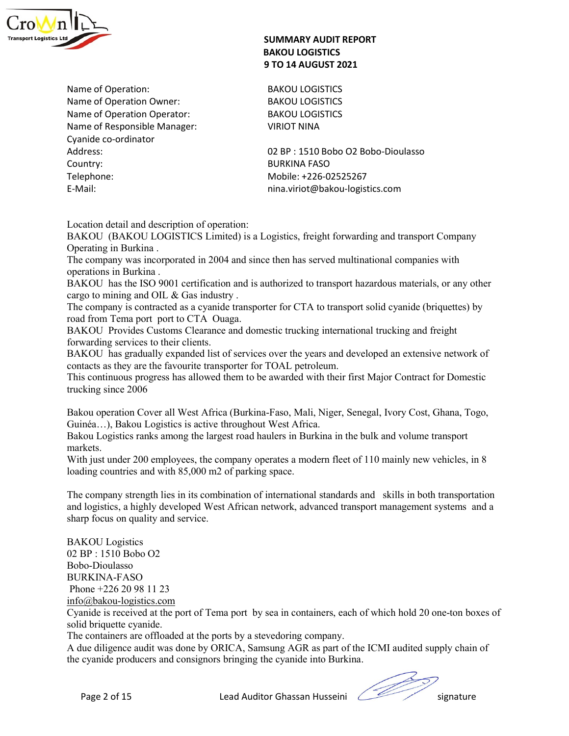

SUMMARY AUDIT REPORT<br>
BAKOU LOGISTICS<br>
9 TO 14 AUGUST 2021<br>
Name of Operation:<br>
Name of Operation Owner:<br>
Name of Operation Operator:<br>
Name of Operation Operator:<br>
Name of Responsible Manager:<br>
Cyanide co-ordinator<br>
Cyanid SUMMARY AUDIT REPORT<br>
BAKOU LOGISTICS<br>
9 TO 14 AUGUST 2021<br>
Name of Operation Owner:<br>
Name of Operation Operator:<br>
Name of Responsible Manager:<br>
Name of Responsible Manager:<br>
Operation Operator:<br>
Cynnic Geordinator<br>
Cynnic SUMMARY AUDIT REPORT<br>
BAKOU LOGISTICS<br>
9 TO 14 AUGUST 2021<br>
Name of Operation Owner:<br>
Name of Operation Owner:<br>
Name of Operation Operator:<br>
BAKOU LOGISTICS<br>
Name of Responsible Manager:<br>
SAKOU LOGISTICS<br>
BAKOU LOGISTICS<br> SUMMARY AUDIT REPORT<br>
BAKOU LOGISTICS<br>
Name of Operation Owner:<br>
Name of Operation Owner:<br>
Name of Operation Operator:<br>
Name of Responsible Manager:<br>
Cyanide co-ordinator<br>
Cyanide co-ordinator<br>
Address:<br>
Cyanide co-ordinat SUMMARY AUDIT REPORT<br>
BAKOU LOGISTICS<br>
9 TO 14 AUGUST 2021<br>
Name of Operation:<br>
Name of Operation Owner:<br>
Name of Operation Operator:<br>
Name of Responsible Manager:<br>
Name of Responsible Manager:<br>
Cyanide co-ordinator<br>
Addre SUMMARY AUDIT REPORT<br>
BAKOU LOGISTICS<br>
9 TO 14 AUGUST 2021<br>
Name of Operation Owner:<br>
Name of Operation Operator:<br>
Name of Operation Operator:<br>
Name of Responsible Manager:<br>
Cyanide co-ordinator<br>
Cyanide co-ordinator<br>
Cyan SUMMARY AUDIT REPORT<br>
BAKOU LOGISTICS<br>
Name of Operation:<br>
Name of Operation Owner:<br>
Name of Operation Operator:<br>
BAKOU LOGISTICS<br>
Name of Responsible Manager:<br>
Cyanide co-ordinator<br>
Cyanide co-ordinator<br>
Cyanide co-ordina SUMMARY AUDIT REPORT<br>
BAKOU LOGISTICS<br>
9 TO 14 AUGUST 2021<br>
Name of Operation Owner:<br>
Name of Operation Owner:<br>
Mame of Operation Operator:<br>
Mame of Operation Operator:<br>
Mame of Operation Operator:<br>
Name of Operation Opera SUMMARY AUDIT REPORT<br>
BAKOU LOGISTICS<br>
9 TO 14 AUGUST 2021<br>
Name of Operation Owner:<br>
Name of Operation Owner:<br>
Name of Operation Owner:<br>
Name of Operation Owner:<br>
SAKOU LOGISTICS<br>
Name of Operation<br>
Cyanide co-ordinator<br> SUMMARY AUDIT REPORT<br>
BAKOU LOGISTICS<br>
9 TO 14 AUGUST 2021<br>
Name of Operation Owner:<br>
Name of Operation Owner:<br>
Name of Operation Owner:<br>
BAKOU LOGISTICS<br>
Name of Responsible Manager:<br>
Name of Responsible Manager:<br>
VIRIOT **BAKOU (BAKOU COGISTICS**<br> **BAKOU LOGISTICS**<br> **BAKOU LOGISTICS**<br> **RARR** e of Operation: Owner: BAKOU LOGISTICS<br> **RARR** e of Operation: Operator: BAKOU LOGISTICS<br> **RARR** e of Company Company<br>
Company<br>
Company<br>
Company<br>
Compa **SUMMARY AUDIT REPORT<br>
BAKOU LOGISTICS<br>
9 TO 14 AUGUST 2021<br>
Name of Operation Owner:<br>
BAKOU LOGISTICS<br>
Name of Operation Operator:<br>
Name of Operation Owner:<br>
BAKOU LOGISTICS<br>
Name of Operation Operator:<br>
Name of Responsib The company of the company summary and the company summary and the condition**<br>
Name of Operation:<br>
Name of Operation Operator:<br>
Name of Operation Operator:<br>
Name of Operation Operator:<br>
Sande co-ordinator<br>
Company<br>
Coldit **SUMMARY AUDIT REPORT<br>
BAKOU LOGISTICS**<br> **BAKOU LOGISTICS**<br> **Rame of Operation Owner:**<br>
Name of Operation Owner:<br> **Rame of Operation Operator:**<br> **BAKOU LOGISTICS**<br> **Rame of Responsible Manager:**<br> **CAULOGISTICS**<br> **Rame of R BAKOU LOGISTICS**<br> **BAKOU LOGISTICS**<br> **BAKOU LOGISTICS**<br> **BAKOU LOGISTICS**<br> **RAMOU COGISTICS**<br> **RAMOU COGISTICS**<br> **RAMOU COGISTICS**<br> **RAMOU COGISTICS**<br>
Cyanide co-ordinator<br> **Cyanide co-ordinator**<br> **Cyanide co-ordinator**<br> Mame of Operation:<br> **BAKOU LOGISTICS**<br> **BAKOU LOGISTICS**<br> **BAKOU LOGISTICS**<br> **RARR** of Operation Operator:<br> **BAKOU LOGISTICS**<br> **RARR** of Operation Operator:<br> **CARRENT CONTEXTS**<br> **CARRENT CONTEXTS**<br> **CARRENT CONTEXTS**<br> **CAR** Name of Operation:<br>
Shame of Operation Owner:<br>
BAKOU LOGISTICS<br>
Name of Operation Operator:<br>
BAKOU LOGISTICS<br>
Cyanide co-ordinator<br>
Cyanide co-ordinator<br>
Cyanide co-ordinator<br>
County:<br>
Cyanide co-ordinator<br>
County:<br>
County Name of Operation:<br>
Name of Operation Owner:<br>
Name of Cheration Operator:<br>
Name of Responsible Manager:<br>
SAKOU LOGISTICS<br>
Name of Responsible Manager:<br>
Cyanide co-ordinator<br>
Cyanide co-ordinator<br>
Cyanide co-ordinator<br>
Coun Where the Operation Owner:<br>
Name of Operation Owner: BAKOU LOGISTICS<br>
Name of Operation Operator: BAKOU LOGISTICS<br>
Name of Responsible Manager: VIROT NINO TRINA<br>
Cyanide co-ordinator<br>
Cyanide Co-ordinator<br>
Country: 22 BP : Where the Coperation University<br>
Name of Operation Operator:<br>
Name of Responsible Manager:<br>
Name of Responsible Manager:<br>
URIOT NINA<br>
Address:<br>
Country:<br>
Telephone:<br>
E-Mail:<br>
E-Mail:<br>
E-Mail:<br>
E-Mail:<br>
E-Mail:<br>
E-Mail:<br>
E-Name of Operation Operator.<br>
Name of Responsible Manager:<br>
Cyanide co-ordinator<br>
Cyanide co-ordinator<br>
Cyanide co-ordinator<br>
Country:<br>
Telephone:<br>
Telephone:<br>
Telephone:<br>
Telephone:<br>
Telephone:<br>
Telephone:<br>
Telephone:<br>
Tel

## SUMMARY AUDIT REPORT<br>BAKOU LOGISTICS<br>9 TO 14 AUGUST 2021<br>BAKOU LOGISTICS<br>BAKOU LOGISTICS SUMMARY AUDIT REPORT<br>BAKOU LOGISTICS<br>9 TO 14 AUGUST 2021<br>BAKOU LOGISTICS<br>BAKOU LOGISTICS<br>BAKOU LOGISTICS SUMMARY AUDIT REPORT<br>BAKOU LOGISTICS<br>9 TO 14 AUGUST 2021<br>BAKOU LOGISTICS<br>BAKOU LOGISTICS<br>BAKOU LOGISTICS<br>VIRIOT NINA

Name of Responsible Manager:<br>
ViRIOT NINA<br>
Cyanide co-ordinator<br>
Country:<br>
Columbic as the Secure as the Secure as the Secure and Mobile: +226-02525267<br>
Telephone:<br>
In an viriot@bakou-logistics.com<br>
In an viriot@bakou-logi Cyantide co-ordinator and them to be available them to be available the spherical Bakou Calistics.<br>
Telephone: and description of operation: has wireld with the spherical control of the small control and description of ope Address:<br>
202 BP : 1510 Bobo 02 Bobo-Dioulasso<br>
2018 PP: 1510 Bobo 02 Bobo-Dioulasso<br>
202 Beho-Dioulasso<br>
202 Beho-Dioulasso<br>
202 Beho-Dioulasso<br>
202 Beho-Dioulasso<br>
202 MeMaCU (BAKOU IDOGISTICS Limited) is a Logistics, fr Telephone: Mobile: +226-02525267<br>
Inna.viriot@bakou-logistics.com<br>
EAROU (BAKOU LOGISTICS Limited) is a Logistics, freight forwarding and transport Company<br>
Operating in Burkina.<br>
Operating in Burkina.<br>
The company was inc F-Mail:<br>
Inna.viriot@bakou-logistics.com<br>
LOcation detail and description of operation:<br>
BAKOU (BAKOU LOGISTICS Limited) is a Logistics, freight forwarding and transport Company<br>
Operating in Burkina.<br>
The company was inco Location detail and description of operation:<br>BAKOU (BAKOU LOGISTICS Limited) is a Logistics, freight forwarding and transport Company<br>Operating in Burkina .<br>The company was incorporated in 2004 and since then has served m

markets.

manned countries and with 85,000 m2 of parking space.<br>
Sing countries and with 85,000 m2 of parking space.<br>
ecompany strength lies in its combination of international standards and skills in both transportation<br>
Ilogistics Location detail and description of operation:<br>
Location detail and QLOGISTICS Limited) is a Logistics, freight forwarding and transport Company<br>
Operating in Burkina.<br>
Operatings was incorporated in 2004 and since then has BAKOU (BAKOU LOGISTICS Limited) is a Logistics, freight forwarding and transport Company<br>Operating in Burkina.<br>
The company was incorporated in 2004 and since then has served multinational companies with<br>
operations in Bur The company was incorporated in 2004 and since then has served multinational companies with<br>pertations in Burkina .<br>MAGU has the ISO 9001 certification and is authorized to transport hazardous materials, or any other<br>eargo operations in Burkina.<br>
a parkOU has the ISO 9001 certification and is authorized to transport hazardous materials, or any other<br>
BAKOU has the ISO 9001 certification and is authorized to transport solid cyanide (briquette BAKOU has the ISO 9001 certification and is authorized to transport hazardous materials, or any other are to mining and OIL & Gas industry.<br>The company is contracted as a cyanide transporter for CTA to transport solid cyan The company is contracted as a cyanide transporter for CTA to transport solid cyani<br>
road from Tema port port to CTA Ouaga.<br>
BAKOU Provides Customs Clearance and domestic trucking international trucking<br>
forwarding service road from Tema port port to CTA Ouaga.<br>
BAKOU Provides Customs Clearance and domestic trucking international trucking and freight<br>
BAKOU has gradually expanded list of services over the years and developed an extensive ne<br> 3AKOU has gradually expanded list of services over the years and developed an extensive netwoordacts as they are the favourite transporter for TOAL petroleum.<br>
This continuous progress has allowed them to be awarded with t This continuous progress has allowed them to be awarded with their first Major Contract for Domestic<br>trucking since 2006<br>Bakou Logistics is active throughout West Africa.<br>Giunia...), Bakou Logistics is active throughout We trucking since 2006<br>
Bakou operation Cover all West Africa (Burkina-Faso, Mali, Niger, Senegal, Ivory Cost,<br>
Guinéa....), Bakou Logistics is active throughout West Africa.<br>
Bakou Logistics ranks among the largest road haul Bakou operation Cover all West Africa (Burkina-Faso, Mali, Niger, Senegal, Ivory Cost, Ghana, Togo, Giunea...), Bakou Logistics is active throughout West Africa.<br>
Harbachu Logistics ranks among the largest road haulers in Bakou operation Cover all West Africa (Burkina-Faso, Mali, Niger, Senegal, Ivory Cost, Ghana, Togo, Guinéa...), Bakou Logistics is active throughout West Africa.<br>
Bakou Logistics ranks among the largest road haulers in Bur Guinéa....), Bakou Logistics is active throughout West Africa.<br>
Bakou Logistics ranks among the largest road haulers in Burkina in the bulk and volume transport<br>
markets.<br>
With just under 200 employees, the company operate

Bobo-Dioulasso BURKINA-FASO info@bakou-logistics.com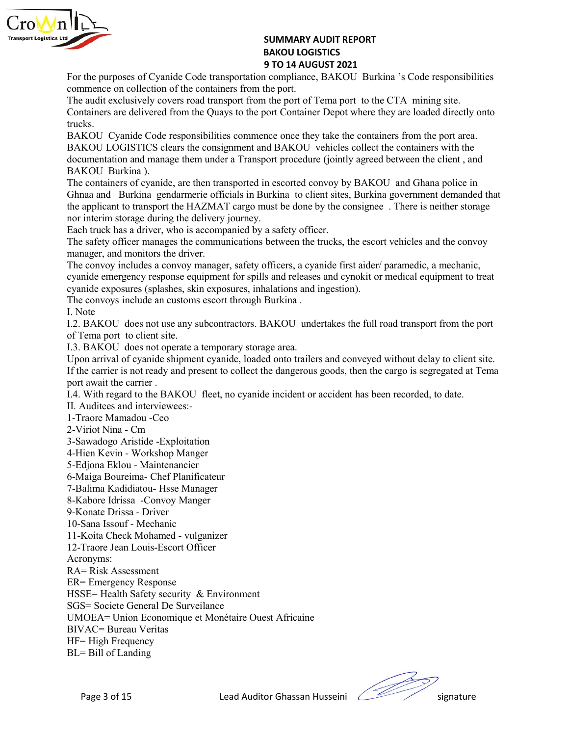

SUMMARY AUDIT REPORT<br>BAKOU LOGISTICS<br>9 TO 14 AUGUST 2021<br>1 compliance, BAKOU Burkina 's Code responsibilities<br>the port.<br>1 the port of Tema port to the CTA mining site.

SUMMARY AUDIT REPORT<br>BAKOU LOGISTICS<br>9 TO 14 AUGUST 2021<br>1 compliance, BAKOU Burkina 's Code responsibilities<br>the port.<br>1 the port of Tema port to the CTA mining site.<br>sort Container Depot where they are loaded directly on SUMMARY AUDIT REPORT<br>
BAKOU LOGISTICS<br>
9 TO 14 AUGUST 2021<br>
1 compliance, BAKOU Burkina 's Code responsibilities<br>
the port.<br>
1 the port of Tema port to the CTA mining site.<br>
coort Container Depot where they are loaded dire SUMMARY AUDIT REPORT<br>
BAKOU LOGISTICS<br>
9 TO 14 AUGUST 2021<br>
For the purposes of Cyanide Code transportation compliance, BAKOU Burkina 's Code responsibilities<br>
commence on collection of the containers from the port.<br>
The a **EXEMPLE SUMMARY AUDIT REPORT<br>
SUMMARY AUDIT REPORT**<br> **EXERCISTICS**<br> **EXERCISTED ANOU LOGISTICS**<br> **EXERCISTED ANOUST 2021**<br>
The audit exclusively covers road transport from the port.<br>
The audit exclusively covers road tran SUMMARY AUDIT REPORT<br> **EXCLUSIVE AUTOMORY SURVE TO THE SERVIT AND SET ASSES**<br>
For the purposes of Cyanide Code transportation compliance, BAKOU Burkina 's Code responsibilities<br>
The audit exclusively covers road transport trucks.

SUMMARY AUDIT REPORT<br>
BAKOU LOGISTICS<br>
For the purposes of Cyanide Code transportation compliance, BAKOU Burkina 's Code responsibilities<br>
commence on collection of the containers from the port.<br>
The audit exclusively cove **SUMMARY AUDIT REPORT**<br> **BAKOU LOGISTICS**<br> **BAKOU LOGISTICS**<br> **BAKOU COGISTICS**<br> **BAKOU COGISTICS**<br> **EXERCE THE and it exclusively covers road transport from the port.**<br> **Containers are delivered from the Quays to the port BAKOU LOGISTICS**<br> **BAKOU LOGISTICS**<br> **BAKOU LOGISTICS**<br> **BAKOU LOGISTICS**<br> **BAKOU LOGISTICS**<br> **BAKOU COMERTIFY CONSIGNATION**<br> **BAKOU CONSIGNATION** THE equalities from the containers from the port<br> **EVALUAL CONSIGNATION**<br>

**Example 12**<br> **Example 10**<br> **Example 10**<br> **Example 10**<br> **Example 10**<br> **Example 10**<br> **Example 10**<br> **Example 10**<br> **Example 10**<br> **Example 10**<br> **Example 10**<br> **Example 10**<br> **Example 10**<br> **Example 10**<br> **Example 10**<br> **Example 10** SUMMARY AUDIT REPORT<br>
BAKOU LOGISTICS<br>
STO 14 AUGUST 2021<br>
For the purposes of Cyanide Code transportation compliance, BAKOU Burkina 's Code resp<br>
commence on collection of the containers from the port.<br>
The audit exclusiv **SUMMARY AUDIT REPORT**<br> **EXERCT: EXERCT CONTEXT: EXERCT CONTEXT: EXERCT CONTEXT: EXERCT CONTEXT: EXERCT CONTEXT:** The audit exclusively covers road transport from the port.<br>
The audit exclusively covers road tran SUMMARY AUDIT REPORT<br>
BAKOU LOGISTICS<br>
For the purposes of Cyanide Code transportation compliance, BAKOU Burkina 's Code responsibilities<br>
The audit exclusively covers road transport from the port.<br>
The audit exclusively c **Example 19 SUMMARY AUDIT REPORT**<br> **EXECUTE: BAKOU LOGISTICS**<br> **EXECUTE:** The mapplicant consigned consigned to complicance, BAKOU Burkina 's Code responsibilities<br>
The audit exclusively covers road transport from the po **Example 12**<br> **Example 2011**<br> **Example 2011**<br> **Example 2011**<br> **Example 2011**<br> **Example 2011**<br> **Example 2011**<br> **Example 2011**<br> **Example 2011**<br> **Example 2011**<br> **Example 2011**<br> **Example 12**<br> **Example 12**<br> **Example 12**<br> **Examp EXEMPLE 12:**<br> **EXEMPLE 12:**<br> **EXELUTE:**<br> **EACH TREAT TO THE A AUGUST ASSOCT AND STATE OF THE ALCOL TO THE ALCOL THE ALCOL THE AND THE AND THE AND THE CONDITING THE CONDITING THE and it exclusively covers road transport fr EXECT:**<br> **EXECT:**<br> **EXECT:**<br> **EXECT:**<br> **EXECT:**<br> **EXECT:**<br> **EXECT:**<br> **EXECT:**<br> **EXECT:**<br> **EXECT:**<br> **EXECT:**<br> **EXECT:**<br> **EXECT:**<br> **EXECT:**<br> **EXECT:**<br> **EXECT:**<br> **EXECT:**<br> **CONTENTEX:**<br> **CONTENTEX:**<br> **CONTENTEX:**<br> **CONTENTEX EXEMPLE 1989**<br> **EXEMPLE 1980 SUMMARY AUDIT REPORT**<br> **EXERCT BAKOU LOGISTICS**<br> **EXERCT DEVALUATE 2021**<br> **EXERCT DEVALUATE 2021**<br> **EXERCT DEVALUATE 2021**<br> **EXERCT DEVALUATE TO A MONEM TO A MONEM THE BUT THE ANCOU Cyanide Co SUMMARY AUDIT REPORT<br>
BAKOU LOGISTICS<br>
BAKOU LOGISTICS<br>
For the purposes of Cyanide Code transportation compliance, BAKOU Burkina 's Code responsibilities<br>
commence on collection of the containers from the pot.<br>
The andit Example 11 EXACT SUBMARY ANDITEEPORT**<br> **EXACT OF THE SURFORM ANDITE SURFORM CONDITE:**<br>
The audit exclusively covers road transportation complisione, BAKOU Burkina 's Code responsibilities<br>
Containers are delivered from **EXECUTE: EXECUTE: EXECUTE: CALCUTE ANALY CONSTRATES**<br> **EXECUTE: SOMETHY ANALY CONSTRATES (THE CONSTRANT ON THE CONSTRANT THE WALK ON THE CONSTRANT THE WALK CONSTRANT THE WALK CONSTRANT THE WALK CONSTRANCE THE WALK 970 14 AUGUST 2021**<br>**970 14 AUGUST 2021**<br>**Evaluates Contract Convolution** complimates; Convolution Symbol Convolutions (The and free<br>and transport from the port. Containers from the port.<br>Containers are delivered from the For the purposes of Cyanide Code transportation compliance, BAKOU Burl<br>commence on collection of the containers from the port.<br>The audit exclusively covers road transport from the port of Tema port to the<br>Containers are de commerice on collection of the containers from the port.<br>The audit exclusively covers root tempeyor from the port of Tema port to the CTA mining site.<br>To charainers are delivered from the Quays to the port Container Depot The audit exclusively covers road transport from the port of Tema port to the CTA mining site.<br>Containers are delivered from the Quays to the port Container Depot where they are loaded direct<br>chucks.<br>
ENAKOU Cyanide Code r Containers are delivered from the Quays to the port Container Depot where they are loaded directly onto<br>
Encks.<br>
BAKOU Cyanide Code responsibilities commence once they take the containers from the port area.<br>
BAKOU Cyanide Itudes.<br>
HOMES COU Cyanide Code responsibilities commence once they take the containers from the port area.<br>
BAKOU LOGISTICS clears the consignment and BAKOU vehicles collect the containers with the<br>
documentation and mana BAKOU Cyanide Code responsibilities commence once they take the containers from the prot area.<br>BAKOU LOGISTICS clears the consignment and BAKOU vehicles cellect the containers with the decurrentation and manage them under BAKOU LOGISTICS clears the consignment and BAKOU vehicles collect the containers with<br>documentation and mange them under a Transport procedure (jointly agreed between the client<br>BAKOU Burkina a).<br>The containers of cyanide, documentation and manage them under a Transport procedure (jointly agreed between the client, and<br>BAKOU Flurkina 3.<br>The containers of eyanide, are then transported in essorted convoy by BAKOU and Ghana police in<br>Ghana and BAKOU Burkina ).<br>The containers of cyanide, are then transported in escorted convoy by BAKOU and Ghana<br>Ghnaa and Burkina gendarmeric officials in Burkina to client sites, Burkina government<br>the applicant to transport the H The containers of cyanide, are then transported in escorted convoy by BAKOU and Ghana po<br>Ghnaa and Buxhina gendamerie officials in Burkina to client sites, Burkina government der<br>Ghnaa and Buxhina gendamerie officials in B Ghnaa and Burkina gendarmeric officials in Burkina to client sites, Burkina governmen<br>the applicant to transport the HAZMAT cargo must be done by the consignee. There is n<br>the applicant to transport the HAZMAT cargo must b

the applicant to transport the HAZMAT cargo must be done by the consignee. There is neither sort interm storage during the delivery journey.<br>
Each truck has a driver, who is accompanied by a safety officer.<br>
The safety off nor interim storage during the delivery journey.<br>
Each truck has a driver, who is accompanied by a safety officer.<br>
Each truck has a driver, who is accompanied by a safety officer.<br>
The safety officer manages the communica Fach truck has a driver, who is accompanied by a safety officer.<br>The safety officer manages the communications between the trucks, the escort vehicles and the safety officer manager, and monitors the christ.<br>The convoy inc The safety officer manages the communications between the trucks, the escort vehicles and the convertion anger, and monitors the driver.<br>The convoy includes a convoy manager, safety officers, a cyanide first aider/ paramed manager, and monitors the driver.<br>The convoy includes a convoy manager, safety officers, a cyanide first aider/ paramedic, a mechanic,<br>The convoy includes a convoy manager, safety officers, a cyanide first aider/ paramedic The convoy includes a convoy manager, safety officers, a cyanide first aider/ paramedic, a mechanic, eyanide emregney response equipment for spills and releases and cynokit or medical equipment to tray<br>eyanide exposures (s

cyanide emergency response equipment for spills and releases and cynokit or medical equiproxidic exposures (splashes, skin exposures, inhalations and ingestion).<br>The convoys include an customs escort through Burkina and in cyanide exposures (splashes, skin exposures, inhalations and ingestion).<br>The convoys include an customs escort through Burkina .<br>I. Note<br>I.2 BAKOU does not use any subcontractors. BAKOU undertakes the full road transport i The convoys include an customs escort through Burkina .<br>
I. Note .<br>
I. Note .<br>
I.2. BAKOU does not use any subcontractors. BAKOU undertakes the full road transport from the por<br>
I.2. BAKOU does not to eient site.<br>
U.3. BAK I. Note<br>
1. Note<br>
12- BAKOU does not use any subcontractors. BAKOU undertakes the full road transport from the por<br>
15- BAKOU does not operate a temporary storage area.<br>
1.3- BAKOU does not operate a temporary storage area of Tema port to client site.<br>
1.3 BAKOU does not operate a temporary storage area.<br>
1.Upon arrival of cyanide shipment cyanide, loaded onto trailers and conveyed without<br>
If the carrier is not ready and present to collect 1.3. BAKOU does not operate a temporary storage area.<br>
1.3. BAKOU does not operate shipment cyanide, loaded onto trailers and conveyed without delay<br>
If the carrier is not ready and present to collect the dangerous goods, Upon arrival of cyanide shipment cyanide, loaded onto trailers and conveyed without delay to client site.<br>If the carrier is not ready and present to collect the dangerous goods, then the cargo is segregated at Tema<br>port aw If the carrier is not ready and present to collect the dangerous goods, then the cargo is segregated at 1<br>not await the carrier .<br>H. Autineus and interviewess-<br>H. Autineus and interviewess-<br>-1-Traore Mannadou -Ceo<br>2-Viriot port avait the carrier .<br>
The With regard to the BAKOU fleet, no eyanide incident or accident has been recorded, to date.<br>
I. Anditecs and interviewees:-<br>
1-Trane Mandou -Ceo<br>
2-Viriot Nina - Cm<br>
2-Yiriot Nina - Cm<br>
2-Yiri

1.4. With regard to the BAKOU fleet, no cyanide incident or accident has been recorded, to 11. Auditiess and interviewess:-<br>2-Viriot Nima - Cm<br>2-Viriot Nima - Cm<br>2-Viriot Nima - Cm<br>3-Sawadogo Aristide - Exploitation<br>4-Hien

Acronyms:

II. Auditees and interviewees:<br>
1-Traore Mamadou -Cco<br>
2-Viriot Nina - Cm<br>
2-Viriot Nina - Cm<br>
3-Sawadogo Aristide - Exploitation<br>
4-Hien Kevn - Workshop Manger<br>
5-Ridjons Eklou - Maintenancier<br>
6-Maiga Boureima- Chef Plan 1-Traore Mamadou -Ceo<br>
2-Viriot Nima - Cm<br>
3-Sawadogo Aristide -Exploitation<br>
4-Hien Kevin - Workshop Manger<br>
5-Edjona Eklou - Maintenancier<br>
6-Maiga Boureima- Chef Planificateur<br>
6-Maiga Boureima- Chef Planificateur<br>
7-Ba

djona Eklou - Manufenancer<br>
afaig Boureima - Chef Planificateur<br>
afaig Boureima - Chef Planificateur<br>
conte Drissa - Convoy Manger<br>
Conte Chissa Issoft - Mechanic<br>
Scotte Chef Mohamed - vulganizer<br>
Trace Jean Louis-Escort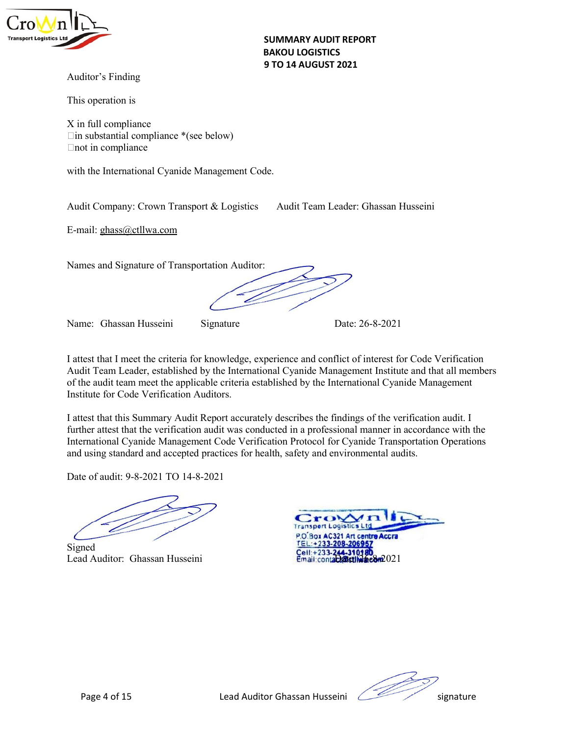

SUMMARY AUDIT REPORT<br>BAKOU LOGISTICS<br>9 TO 14 AUGUST 2021 SUMMARY AUDIT REPORT<br>BAKOU LOGISTICS<br>9 TO 14 AUGUST 2021 SUMMARY AUDIT REPORT<br>BAKOU LOGISTICS<br>9 TO 14 AUGUST 2021 SUMMARY AUDIT REPORT<br>
BAKOU LOGISTICS<br>
Auditor's Finding<br>
This operation is<br>
X in full compliance<br>
<br>
Lin substantial compliance \*(see below)

SUMMARY AUDIT REPORT<br>
BAKOU LOGISTICS<br>
Auditor's Finding<br>
This operation is<br>
X in full compliance<br>
<br>
<br>
Cin substantial compliance \*(see below)<br>
<br>
Chot in compliance SUMMARY AUDIT REPORT<br>
BAKOU LOGISTICS<br>
Auditor's Finding<br>
This operation is<br>
X in full compliance<br>
<br>
<br>
Eximpliance<br>
<br>
<br>
This substantial compliance<br>
<br>
<br>
with the International Cyanide Management Code. SUMMARY AUDIT REPORT<br>
BAKOU LOGISTICS<br>
9 TO 14 AUGUST 2021<br>
This operation is<br>
X in full compliance<br>  $\Box$ in substantial compliance \*(see below)<br>  $\Box$ not in compliance<br>
with the International Cyanide Management Code. SUMMARY AUDIT REPORT<br>
BAKOU LOGISTICS<br>
9 TO 14 AUGUST 2021<br>
This operation is<br>
X in full compliance<br>
<br>
Lim substantial compliance \*(see below)<br>
<br>
Lim substantial compliance \*(see below)<br>
<br>
Audit Company: Crown Transport & **SUMMARY AUDIT REPORT<br>
BAKOU LOGISTICS<br>
Auditor's Finding<br>
This operation is<br>
X in full compliance<br>
Lim substantial compliance<br>
\*(see below)<br>
Compliance<br>
with the International Cyanide Management Code.<br>
Audit Company: Crow** SUMMARY AUDIT REPORT<br>
BAKOU LOGISTICS<br>
Auditor's Finding<br>
This operation is<br>
X in full compliance<br>
Elms substantial compliance<br>
\*(see below)<br>
Elms substantial company: Crown Transport & Logistics<br>
Audit Team Leader: Ghassa SUMMARY AUDIT REPORT<br>
BAKOU LOGISTICS<br>
Auditor's Finding<br>
This operation is<br>
X in full compliance<br>
Clin substantial compliance \*(see below)<br>
End in compliance<br>
with the International Cyanide Management Code.<br>
Audit Company

SUMMARY AUDIT REPORT<br>
BAKOU LOGISTICS<br>
Auditor's Finding<br>
This operation is<br>
X in full compliance<br>
Clim substantial compliance<br>
with the International Cyanide Management Code.<br>
Audit Company: Crown Transport & Logistics<br>
A

This operation is<br>
X in full compliance<br>
Lim substantial compliance<br>
"The substantial compliance" (see below)<br>
Mudit Company: Crown Transport & Logistics Audit Team Leader: Ghassan Husseini<br>
Date: 26-8-2021<br>
Name: Ghassan X in full compliance \*(see below)<br>
I Insideratial compliance \*(see below)<br>
Audit Team Leader: Ghassan Husseini<br>
I. Matti Company: Crown Transport & Logistics<br>
Audit Team Leader: Ghassan Husseini<br>
I. Shane: Ghassan Husseini Fin substantial compliance \*(see below)<br>
Chot in compliance<br>
Audit Company: Crown Transport & Logistics<br>
Audit Team Leader: Ghassan Husseini<br>
F-mail: ghass@etllwa.com<br>
Names and Signature of Transportation Auditor:<br>
Manne: Find in compliance<br>
with the International Cyanide Management Code.<br>
Audit Team Leader: Ghassan Husseini<br>
E-mail: ghass@ctllwa.com<br>
Names and Signature of Transportation Auditor:<br>
Name: Ghassan Husseini<br>
Signature<br>
Managem with the International Cyanide Management Code.<br>
Audit Company: Crown Transport & Logistics Audit Team Leader: Ghassan Husseini<br>
E-mail: ghass@ctllwa.com<br>
Name: Ghassan Husseini Signature<br>
Name: Ghassan Husseini Signature<br> Audit Company: Crown Transport & Logistics Audit Team Leader: Ghassan Husseini<br>
E-mail: <u>ehass@ctllwa.com</u><br>
Name: Ghassan Husseini Signature Date: 26-8-2021<br>
1 attest that I meet the criteria for knowledge, experience and Audit Company: Crown Transport & Logistics Audit Team Leader: Ghassan Husseini<br>
F-mail: ghass@ctllwa.com<br>
Names and Signature of Transportation Auditor:<br>
Mame: Ghassan Husseini<br>
Signature David Team Leader, established by Audit Company: Crown Transport & Logistics<br>
E-mail: ghass@etllwa.com<br>
Names and Signature of Transportation Auditor:<br>
Management Code Verification<br>
Audit Team Leader, established by the International Cyanide Management Ins E-mail: ghass@ctllwa.com<br>
Names and Signature of Transportation Auditor:<br>
Mame: Ghassan Husseini Signature Date: 26-8-2021<br>
1 attest that I meet the criteria for knowledge, experience and conflict of interest for Code Veri Name: Ghassan Husseini Signature Date: 26-8-2021<br>
I attest that I meet the criteria for knowledge, experience and conflict of interest for Code Verification<br>
Audit Team Leader, cstablished by the International Cyanide Mana

Names and Signature of Transportation Auditor:<br>
Name: Ghassan Husseini Signature<br>
1 attest that I meet the criteria for knowledge, experience and conflict of interest for Code Verification<br>
Audit Team Leader, established b

Signed

Page 4 of 15 Lead Auditor Ghassan Husseini Read Auditor Ghassan Husseini Signature<br>Page 4 of 15 Lead Auditor Ghassan Husseini Signature<br>Page 4 of 15 Lead Auditor Ghassan Husseini Signature<br>Page 4 of 15 Lead Auditor Ghassan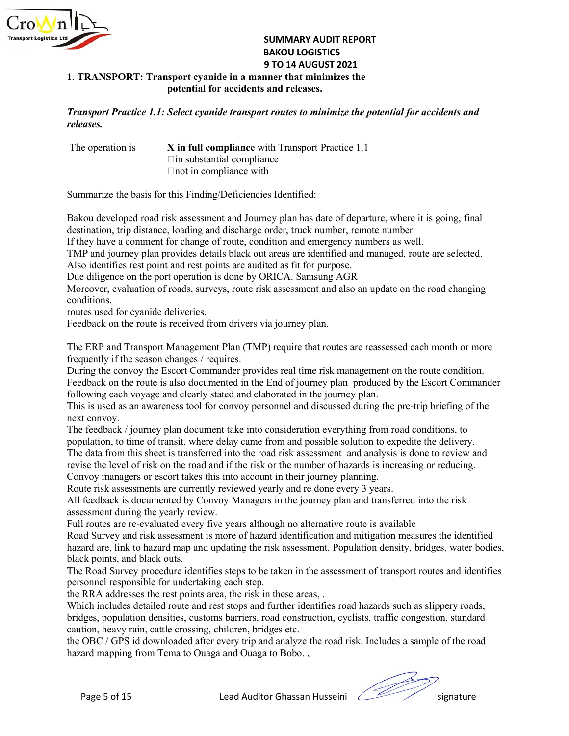

## SUMMARY AUDIT REPORT<br>BAKOU LOGISTICS<br>9 TO 14 AUGUST 2021<br>nner that minimizes the<br>and releases. SUMMARY AUDIT REPORT<br>BAKOU LOGISTICS<br>9 TO 14 AUGUST 2021<br>nner that minimizes the<br>and releases.<br>rt routes to minimize the potential for accidents and SUMMARY AUDIT REPORT<br>BAKOU LOGISTICS<br>9 TO 14 AUGUST 2021<br>nner that minimizes the<br>and releases.<br>*A routes to minimize the potential for accidents and* SUMMARY AUDIT REPORT<br>
BAKOU LOGISTICS<br>
9 TO 14 AUGUST 2021<br>
sport cyanide in a manner that minimizes the<br>
potential for accidents and releases.<br>
Select cyanide transport routes to minimize the potential for accidents and<br> SUMMARY AUDIT REPORT<br>
BAKOU LOGISTICS<br>
9 TO 14 AUGUST 2021<br>
sport cyanide in a manner that minimizes the<br>
potential for accidents and releases.<br>
Select cyanide transport routes to minimize the potential for accidents and<br> SUMMARY AUDIT REPORT<br>
BAKOU LOGISTICS<br>
9 TO 14 AUGUST 2021<br>
sport cyanide in a manner that minimizes the<br>
potential for accidents and releases.<br>
Select cyanide transport routes to minimize the potential for accidents and<br>

SUMMARY AUDIT REPORT<br>
BAKOU LOGISTICS<br>
9 TO 14 AUGUST 2021<br>
1. TRANSPORT: Transport cyanide in a manner that minimizes the<br>
potential for accidents and releases.<br>
Transport Practice 1.1: Select cyanide transport routes to releases.

SUMMARY AUDIT REPORT<br>
BAKOU LOGISTICS<br>
1. TRANSPORT: Transport cyanide in a manner that minimizes the<br>
potential for accidents and releases.<br>
Transport Practice 1.1: Select cyanide transport routes to minimize the potentia SUMMARY AUDIT REPORT<br>
BAKOU LOGISTICS<br>
9 TO 14 AUGUST 2021<br>
1. TRANSPORT: Transport cyanide in a manner that minimizes the<br>
potential for accidents and releases.<br>
Transport Practice 1.1: Select cyanide transport routes to SUMMARY AUDIT REPORT<br>
BAKOU LOGISTICS<br>
9 TO 14 AUGUST 2021<br>
1. TRANSPORT: Transport eyanide in a manner that minimizes the<br>
potential for accidents and releases.<br>
Transport Practice 1.1: Select cyanide transport protes to **BAKOU LOGISTICS**<br> **BAKOU LOGISTICS**<br> **BAKOU LOGISTICS**<br> **BAKOU LOGISTICS**<br> **BAKOU LOGISTICS**<br> **EXECUTE TO THE CONSTANT:** Transport practice 1.1: Select cyanide transport routes to minimize the potential for accidents and<br> **EXEMPLE SUMMARY AUDIT REPORT<br>
BAKOU LOGISTICS<br>
1. TRANSPORT: Transport cyanide in a manner that minimizes the<br>
potential for accidents and releases.<br>
Transport Practice 1.1: Select cyanide transport routes to minimize the IF THE SET THE SUMMARY AUDIT REPORT<br>
IS UMMARY AUDIT REPORT<br>
IT TRANSPORT: Transport cyanide in a manner that minimizes the<br>
potential for accidents and releases.<br>
Transport Practice 1.1: Select cyanide transport routes t** SUMMARY AUDIT REPORT<br>
1. TRANSPORT: Transport cyanide in a manner that minimizes the<br>
potential for accidents and releases.<br>
Transport Practice 1.1: Select cyanide transport routes to minimize the potential for accidents a **EXECT:**<br> **EXECT:**<br> **EXECT:**<br> **EXECT:**<br> **EXECT:**<br> **EXECT:**<br> **EXECT:**<br> **EXECT:**<br> **EXECT:**<br> **EXECT:**<br> **EXECT:**<br> **EXECT:**<br> **EXECT:**<br> **EXECT:**<br> **EXECT:**<br> **EXECT:**<br> **EXECT:**<br> **EXECT:**<br> **EXECT:**<br> **EXECT:**<br> **EXECT:**<br> **EXECT:**<br> **E** SUMMARY ADDITEEPORT<br> **EXANSPORT:** Transport cyanide in a manner that minimizes the<br>
potential for accidents and releases.<br> **Fransport Practice 1.1:** Select cyanide transport routes to minimize the potential for accidents a **BAKO UNITERTY AND SET USE CONSTRANT CONSTRANT CONSTRANT CONSTRANT (SERVIT AND TO 14 AUGUST 2021**<br> **Transport Practice 1.1: Select cyanide in a manner that minimizes the potential for accidents and<br>
releases.**<br>
The operati **1. TRANSPORT:** Transport cyanide in a manner that minimizes the<br>potential for accidents and releases.<br> **Transport Practice 1.1:** Select cyanide transport routes to minimize the potential for accidents a<br>
The operation is potential for accidents and releases.<br> **Transport Practice 1.1: Select cyanide transport routes to minimize the potential for accidents and<br>
The operation is<br>
The substantial compliance with Transport Practice 1.1<br>
Conside** 

conditions.

**Transport Practice 1.1: Select cyanide transport routes to minimize the potential for accidents and<br>
The operation is<br>**  $\blacksquare$  **The substantial compliance<br>
Simulation in compliance with Transport Practice 1.1<br>
Summarize th** *releases.*<br>
The operation is<br>
In substantial compliance with Transport Practice 1.1<br>
In substantial compliance with<br>
Summarize the basis for this Finding/Deficiencies Identified:<br>
Bakou developed road risk assessment and The operation is<br>
In substantial compliance<br>
In in substantial compliance<br>
In in substantial compliance<br>
In in compliance with<br>
Summarize the basis for this Finding/Deficiencies Identified:<br>
Bakou developed road risk asses The operation is<br>  $\Box$  The substantial compliance with Transport Practice 1.1<br>  $\Box$  m substantial compliance with<br>
Summarize the basis for this Finding/Deficiencies Identified:<br>
Bakou developed road risk assessment and Jo Fin substantial compliance<br>
Summarize the basis for this Finding Operficiencies Identified:<br>
Bakou developed road risk assessment and olouracy plan has date of departure, where it is going, final<br>
destination, trip distanc

Frontine compliance with<br>
Bakou developed road risk assessment and Journey plan has date of departure, where it is going, final<br>
destination, trip distance, loading and discharge order, truck number, remote number<br>
If they Summarize the basis for this Finding/Deficiencies Identified:<br>Bakou developed road risk assessment and Journey plan has date of departure, colating and schination, trip distance, loading and discharge order, truck numbers Summarize the basis for this Finding/Deficiencies Identified:<br>Bakou developed road risk assessment and Journey plan has date of departure, where it is going, final<br>destination, trip distance, loading and discharge order, t Bakou developed road risk assessment and Journey plan has date of departure, where it is going, final<br>destination, trip distance, loading and distcharge order, transk number, remote number<br>If they have a comment for change Bakou developed road risk assessment and Journey plan has date of departure, where it is going, final<br>destination, trip distance, loading and discharge order, truck number, remote number<br>They have a comment for change of r destination, trip distance, loading and discharge order, truck number, remote number<br>If they have a comment for change of rotiet, condition and emergency numbers as well.<br>TMP and journey plan provides details black out are If they have a comment for change of route, condition and emergency numbers as well.<br>
TMP and journey plan provides details black out areas are identified and managed, route are selected.<br>
Also identifies rest point and re TMP and journey plan provides details black out areas are identified and managed, route are selected.<br>Also identifies rest point and rest points are audited as fit for purpose.<br>One diligence on the port operation is done b Also identifies rest point and rest points are audited as fit for purpose.<br>Due diligence on the port operation is done by ORICA. Samsung AGR<br>Moreover, evaluation of roads, surveys, route risk assessment and also an update Due diligence on the port operation is done by ORICA. Samsung AGR<br>
Morcover, evaluation of roads, surveys, route risk assessment and also an update on the road changing<br>
routditions.<br>
routditions.<br>
Freedback on the route i Moreover, evaluation of roads, surveys, route risk assessment and also an update on the road changing<br>coutinosts uced for cyanide deliveries.<br>Feedback on the route is received from drivers via journey plan.<br>The LERP and Tr conditions.<br>The ERP and Transport Management Plan (TMP) require that routes are reassessed each month or more<br>The ERP and Transport Management Plan (TMP) requires<br>the routes are reassessed each month or more<br>frequently if routes used for cyanide deliveries.<br>
Fredback on the route is received from drivers via journey plan.<br>
The FRP and Transport Management Plan (TMP) require that routes are reassessed each month or more<br>
Trequently if the es Feedback on the route is received from drivers via journey plan.<br>The ERP and Transport Management Plan (TMP) require that routes are reassessed each month of<br>requently if the season changes / requires.<br> Corrugs the convoy The FRP and Transport Management Plan (TMP) require that routes are reassessed each month or more<br>frequently if the esseon changes / requires.<br>Pororioging the convoy the Secor Commander provides real time risk management o The ERP and Transport Management Plan (TMP) require that routes are reassessed each month or more<br>frequently if the season changes / requires.<br>
Frequencity if the scanson change is required in the Eulor Diournal phorology frequently if the season changes / requires,<br>During the convoy the Escort Commander provides real time risk management on the route condition.<br>Dering the convoy the Escort Commander in the Find of journey plan produced by During the convoy the Escort Commander provides real time risk management on the route condition.<br>
Fectbook on the route is also documented in the End of journey plan<br>
Fedbook on the route is also documented in the Figure Feedhack on the route is also documented in the Find of journey plan produced by the Fscort Commander<br>Following each voyage and clearly stated and elaborated in the journey plan.<br>This is used as an awareness tool for convo following each voyage and clearly stated and elaborated in the journey plan.<br>This is used as an awareness tool for convoy personnel and discussed during the pre-trip briefing of the<br>This is used as an awareness tool for co This is used as an awareness tool for convoy personnel and discussed during the pre-trip briefing of the next convoy.<br>The dealect vary when accument take into consideration everything from road conditions, to population, t mext convoy, man document take into consideration everything from road conditions, to<br>The freedack / journey plan document take into consideration everything from road conditions, to<br>The data from this sheet is transferred

ise the level of risk on the road and if the reak or the number of hazards is inceasing or reducing.<br>
The page 5 or except takes this into account in their journey planning.<br>
The risk assessments are currently reviewed yea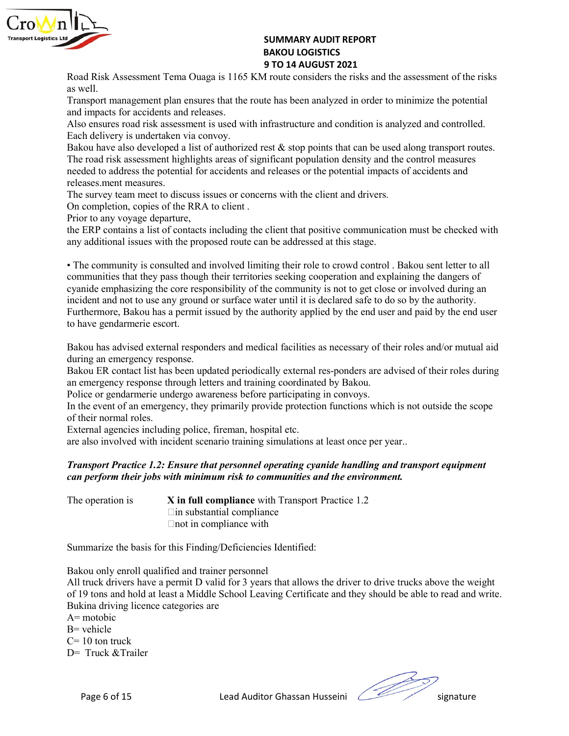

SUMMARY AUDIT REPORT<br>BAKOU LOGISTICS<br>9 TO 14 AUGUST 2021<br>1 route considers the risks and the assessment of the risks<br>te has been analyzed in order to minimize the potential SUMMARY AUDIT REPORT<br>BAKOU LOGISTICS<br>9 TO 14 AUGUST 2021<br>I route considers the risks and the assessment of the risks<br>te has been analyzed in order to minimize the potential SUMMARY AUDIT REPORT<br>BAKOU LOGISTICS<br>9 TO 14 AUGUST 2021<br>1 route considers the risks and the assessment of the risks<br>te has been analyzed in order to minimize the potential<br>nfrastructure and condition is analyzed and contr SUMMARY AUDIT REPORT<br>
BAKOU LOGISTICS<br>
9 TO 14 AUGUST 2021<br>
Road Risk Assessment Tema Ouaga is 1165 KM route considers the risks and the assessment of the risks<br>
as well.<br>
Transport management plan ensures that the route h **SUMMARY AUDIT REPORT**<br> **BAKOU LOGISTICS**<br> **BAKOU LOGISTICS**<br> **BAKOU LOGISTICS**<br> **PTO 14 AUGUST 2021**<br>
Transport management plan ensures that the route has been analyzed in order<br>
and impacts for accidents and releases.<br>
A **SUMMARY AUDIT REPORT**<br> **EXERCT BAKOU LOGISTICS**<br> **STO 14 AUGUST 2021**<br> **Road Risk Assessment Tema Ouaga is 1165 KM route considers the risks and the assessment of the risks<br>
as well.<br>
Transport management plan ensures tha** 

**SUMMARY AUDIT REPORT**<br> **BAKOU LOGISTICS**<br> **BAKOU LOGISTICS**<br> **BAKOU LOGISTICS**<br> **BAKOU LOGISTICS**<br> **EVALUES AND TO 14 AUGUST 2021**<br> **EVALUES 2021**<br> **EVALUES**<br> **EVALUES**<br> **EVALUES**<br> **EVALUES**<br> **EVALUES**<br> **EVALUES**<br> **EVALUE SUMMARY AUDIT REPORT**<br> **BAKOU LOGISTICS**<br> **BAKOU LOGISTICS**<br> **ROBIT COMPT BAKOU LOGISTICS**<br> **ROBIT COMPT AND AUGUST 2021**<br> **DOMES** TREAS ASSESS TRANGED TREAS AND TREAS AND TREASURE TO THE TREASURE THE SAME TREASURE TO ALS **EXERCT:**<br> **EXERCT:**<br> **EXERCT:**<br> **EXERCT:**<br> **EXERCT:**<br> **EXERCT:**<br> **EXERCT:**<br> **EXERCT:**<br> **EXERCT:**<br> **EXERCT:**<br> **EXERCT:**<br> **EXERCT:**<br> **EXERCT:**<br> **EXERCT:**<br> **EXERCT:**<br> **EXERCT:**<br> **EXERCT:**<br> **EXERCT:**<br> **EXERCT:**<br> **EXERCT:**<br> **E BAKOU LOGISTICS**<br> **BAKOU LOGISTICS**<br> **BAKOU LOGISTICS**<br> **BAKOU LOGISTICS**<br> **BAKOU LOGISTICS**<br> **BAKOU LOGISTICS**<br> **BARO TRIGISTICS**<br> **EXERT TRIGISTIC TRIGISTICS**<br> **PARO TRIGIST TRIGIST TRIGIST TRIGIST TRIGIST TRIGIST TRIGI EXEMPLE 12**<br> **THE REVALUAT CONSTIGES**<br> **ROAD RIGHT STAND IS AROU LOGISTICS**<br> **ROAD RIGHT STAND ANOT STAND ANOT TO A AUGUST 2021**<br>
Transport management plan ensures that the route has been analyzed in order to minimize the **EXECT:**<br> **EXECT:**<br> **EXECT:**<br> **EXECT:**<br> **EXECT:**<br> **EXECT:**<br> **EXECT:**<br> **EXECT:**<br> **EXECT:**<br> **EXECT:**<br> **EXECT:**<br> **EXECT:**<br> **EXECT:**<br> **EXECT:**<br> **EXECT:**<br> **EXECT:**<br> **EXECT:**<br> **EXECT:**<br> **EXECT:**<br> **EXECT:**<br> **EXECT:**<br> **EXECT:**<br> **E SUMMARY AUDIT REPORT**<br> **EXERCT: BAKOU LOGISTICS**<br> **EXERCT ANOTE TO 14 AUGUST 2021**<br> **EXERCT ASSESSMENT TEMAL CONSULS 2021**<br> **EXERCT ASSESSMENT MEAT AND THE SERCT AND THE SERCT AND THE SERCT THE THEORY OF A CONSULT THE S THE SURFACT SURFACT SET SURFACT SET SURFACT SET SURFACT SURFACT SURFACT SURFACT SURFACT SURFACT SURFACT SURFACT SURFACT THE SURFACT SURFACT SURFACT SURFACT SURFACT SURFACT SURFACT SURFACT SURFACT SURFACT SURFACT SURFACT S SUMMARY AUDIT REPORT**<br> **BAKOU LOGISTICS**<br> **BAKOU LOGISTICS**<br> **BAKOU LOGISTICS**<br> **ROGINERY CONTEXT COMPLEM**<br> **EXERC**<br> **ROGINERY CONTEXT AND THE CONTEXT CONTEXT AND THE SET CONTINUES TO A ANGLE THEORY IS and timpacts for ac EXERCT:**<br> **EXERCT:**<br> **EXERCT:**<br> **EXERCT:**<br> **EXERCT:**<br> **EXERCT:**<br> **EXERCT:**<br> **EXERCT:**<br> **EXERCT:**<br> **EXERCT:**<br> **EXERCT:**<br> **EXERCT:**<br> **EXERCT:**<br> **EXERCT:**<br> **EXERCT:**<br> **EXERCT:**<br> **EXERCT:**<br> **EXERCT:**<br> **EXERCT:**<br> **EXERCT:**<br> **E EXPRET SET CONSTRESS ASSESSMED AT A SUMMARY AUDIT REPORT**<br> **ERP CONT A AUGUST 2021**<br> **ERROR CONT A AUGUST 2021**<br> **ERROR CONT A AUGUST 2021**<br> **ERROR CONTAINS ASSESSMEDIAT TO USE TO CONTACT AND THE CONTACT CONTACT TO THE CO EXEMPLE 12**<br> **EXEMPLE 12**<br> **EXEMPLE 12**<br> **EXEMPLE INDISTICS**<br> **EXEMPLE INTEREM INTO THE ALUGEST 2021**<br> **EXEMPLE TRESPONT TO THE ALUGEST 2021**<br> **EXEMPLE TRESPONT TO THE PROPOSED TO THE PROPOSED TO THE PROPOSED TO THE PROPO** 

**EXEMPLE THE COMMARY AUDIT REPORT<br>
BAKOU LOGISTICS<br>
BAKOU LOGISTICS<br>
BAKOU LOGISTICS<br>
BAKOU LOGISTICS<br>
ROBA RISH ASSESSIMENT TERING TRISH TRISHS AND TO TO TO A AUGUST 7021<br>
Transport management plan ensures that the route Example 11**<br> **EXANGU LOGISTICS**<br> **EXANGU LOGISTICS**<br> **EXANGU LOGISTICS**<br> **EXANGU LOGISTICS**<br> **EXANGU TO CONTERVIDUE AND THE TO THE SURFORM TO THE SURFORM TO THE SURFORM TO THE SURFORM THE SURFORM AND IMPORT TO THE SURFORM EXEL THE CONSTRANT CONSTRANT CONSTRANT CONSTRANT CONSTRANT CONSTRANT CONSTRANT CONSTRANT (THE SURFANT CONSTRANT CONSTRANT CONSTRANT CONSTRANT CONSTRANT CONSTRANT CONSTRANT CONSTRANT CONSTRANT CONSTRANT CONSTRANT CONSTRANT 370 14 AUGUST 2021**<br>**370 14 AUGUST 2021**<br>**38 well.**<br>**STrangorm management plan ensures that the route has been analyzed in order to minimize the potential<br>Trangorio management plan ensures that the route has been analyzed** Road Risk Assessment Tema Ouaga is 1165 KM route considers the risks and the assessment of the risks<br>In Transport management plan ensures that the route has been analyzed in order to minimize the potential<br>and impacts for as well.<br>
Transport management plan ensures that the route has been analyzed in order to minimize the p<br>
Transport management plan ensures that the route has been analyzed in order to minimize the p<br>
and impacts for accide and impacts for accidents and releases.<br>Also ensures road risk assessment is used with infrastructure and condition is analyzed and controlled.<br>Each delivery is undertaken via vorwy,<br>Each delivery is undertaken via vorwy,<br> Also ensures road risk assessment is used with infrastructure and condition is analyzed and cont<br>Each delivery is undertaken via convoy.<br>Bakou have also developed a list of authorized rest & stop points that can be used al Fach delivery is undertaken via convoy.<br>Bakou lawe also developed a list of authorized rest & stop points that can be used along transport routes.<br>Bakou lawe also developed a list of authorized rest & stop points that can Bakou have also developed a list of authorized rest & stop points that can be used along transport routes.<br>The road risk sussessment highlights areas of significiant population density and the control measures<br>The survey t The road risk assessment highlights areas of significant population density and the control measures<br>needed to address the potential for accidents and releases or the potential impacts of accidents and<br>releases ment measur needed to address the potential for accidents and releases or the potential impacts of accidents and<br>treleases.ment measures.<br>The survey team meet to discuss issues or concerns with the client and drivers.<br>On completion, c releases.ment measures.<br>The survey team meet to discuss issues or concerns with the client and drivers.<br>The survey team meet to discuss issues or concerns with the client and drivers.<br>Prior to any voyage departure,<br>Their t The survey team meet to discuss issues or concerns with the client and drivers.<br>On completion, copies of the RRA to client.<br>Prior to any voyage departure,<br>Prior to any voyage departure,<br>the RRP contants a list of condacts On completion, copies of the RRA to client.<br>
Prior to any voyage departure, the first including the client that positive communication must be checked with<br>
the FRP contains a list of contacts including the client ehad sc the FRP contains a list of contacts including the client that positive communication must be checked with<br> **4.** The communities its consulted and involved limiting their role to crowd control. Bakou sent letter to all<br> **4** any additional issues with the proposed route can be addressed at this stage.<br>
• The communities that they pass though their territories seeking cooperation and explaining the dangers of<br>
communities that they pass though • The community is consulted and involved limiting their role to crowd control. Bakou sent letter to all<br>communities that they pass though their territories secking cooperation and explaining the dangers of<br>examplementati ass though their territories seeking cooperation and explaining the dangers of core responsibility of the community is not to get close or involved during an over exponsibility of the community is not to get close or invol core responsibility of the community is not to get close or involved during an<br>y ground or surface water until it is declared safe to do so by the authority.<br>a permit issued by the authority applied by the end user and pai

**Inspired Practice 1.2:** Ensure that personnel operating cyanide handling and transport equipment<br>
perform their jobs with minimum risk to communities and the environment.<br>
Constantial compliance<br>
In substantial complianc Furthermore, Bakou has a permit issued by the authority applied by the end user and paid by the end user<br>
flakeu has a divised extending an endeal sponders and medical facilities as necessary of their roles and/or mutual Bakou has advised external responders and medical facilities as necessary of their roles and/or mutual aid<br>Bakou ER contact list has been updated periodically external res-ponders are advised of their roles during<br>an emerg Bakou has advised external responders and medical facilities as necessary of their roles and/or mutual aid<br>during an emergency response.<br>The antergency responses have all training coordinated by Bakou.<br>He or gendarmeric un during an emergency response.<br>
Dakou ER contact list has been updated periodically external res-ponders are advised of their roles during<br>
an emergency response from a hold heliers and training coordinated by Bakou.<br>
To li Bakou ER contact list has been updated periodically external res-ponders are advised of their roles during<br>an emergency response through letters and training condinated by Bakou.<br>Police or gendarmerie undergo awareness be an emergency response through letters and training coordinated by Bakou.<br>
Police or gendamente undergo avareness before participating in convoys.<br>
In the event of an emergency, they primarily provide protection functions Police or gendamerie undergo awareness before participating in convoys.<br>
In the event of an energency, they primarily provide protection functions which the event of an energency, they primarily provide protection functio In the event of an emergency, they primarily provide protection functions which is not<br>
for their normal roles.<br>
External agencies including police, fireman, hospital etc.<br>
External agencies including police, fireman, hos of their normal roles.<br>
External agencies including police, fireman, hospital etc.<br>
External agencies including police, fireman, hospital etc.<br> **Transport Practice 1.2:** Ensure that personnel operating cyanide handling and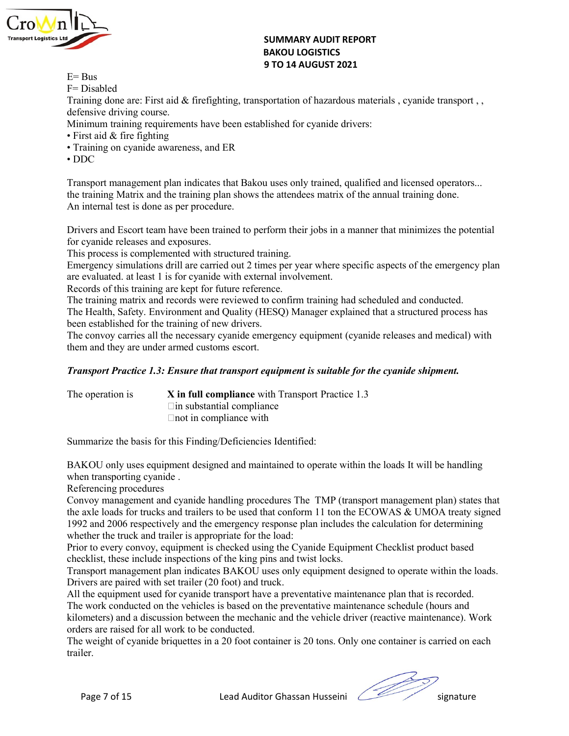

# SUMMARY AUDIT REPORT<br>BAKOU LOGISTICS<br>9 TO 14 AUGUST 2021<br>portation of hazardous materials , cyanide transport , ,

- 
- 

SUMMARY AUDIT REPORT<br>BAKOU LOGISTICS<br>9 TO 14 AUGUST 2021<br>portation of hazardous materials , cyanide transport , , SUMMARY AUDIT REPORT<br>BAKOU LOGISTICS<br>9 TO 14 AUGUST 2021<br>portation of hazardous materials , cyanide transport , ,<br>lished for cyanide drivers: SUMMARY AUDIT REPORT<br>
E= Bus<br>
F= Disabled<br>
Training done are: First aid & firefighting, transportation of hazardous material<br>
defensive driving course.<br>
Minimum training requirements have been established for cyanide drive SUMMARY AUDIT REPORT<br>
E= Bus<br>
F= Disabled<br>
Training done are: First aid & firefighting, transportation of hazardous material<br>
defensive driving course.<br>
Minimum training requirements have been established for cyanide drive SUMMARY AUDIT REPORT<br>
E= Bus<br>
F= Disabled<br>
Training done are: First aid & firefighting, transportation of hazardous materials , cyanide transport , ,<br>
defensive driving course.<br>
Minimum training requirements have been esta **SUMMARY AUDIT REPORT<br>
BAKOU LOGISTICS**<br>
BAKOU LOGISTICS<br> **E**= Bus<br>
F= Disabled<br>
Training done are: First aid & firefighting, transportation of hazardous materials , cyanide tra<br>
defensive driving course.<br>
Minimum training SUMMARY AUDIT REPORT<br>
E= Bus<br>
F= Disabled<br>
F= Disabled<br>
Training done are: First aid & firefighting, transportation of hazardous materials , cyanide transport , ,<br>
defensive driving requirements have been established for c **EXAMPLE 1988 SUMMARY AUDIT REPORT<br>
BAKOU LOGISTICS<br>
F= Disabled<br>
F= Disabled<br>
Training done are: First aid & firefighting, transportation of hazardous materials , cyanide t<br>
defensive driving course.<br>
Minimum training req** 

- 
- 
- 

**EFRALL CONTRIGUTE:**<br>
FERANCULOGISTICS<br>
FERANCULOGISTICS<br>
FERANCULOGISTICS<br>
FERANCULOGISTICS<br>
FERANCULOGISTICS<br>
FERANCULOGISTICS<br>
FERANCULOGISTICS<br>
Training done are: First aid & firefighting, transportation of hazardous m **SUMMARY AUDIT REPORT**<br> **E** Bus<br>
F= Disabled<br>
F= Disabled<br>
Training done are: First aid & firefighting, transportation of hazardous mate<br>
defensive driving course.<br> **PERENTA AUGUST 2021**<br>
Minimum training nequirements have **THE SET ISLAM IN SUMMARY AUDIT REPORT<br>
E-Bus<br>
F- Disabled<br>
Training done are: First aid & firefighting, transportation of hazardous materials , cyanide transport ,<br>
A First indicate that Bakou uses only trained, qualified Example 12**<br> **EXECT: SUMMARY AUDIT REPORT**<br> **EXECT: 9 TO 14 AUGUST 2021**<br> **EXECT: Properties**<br> **EXECT: Properties**<br> **EXECT: Properties**<br> **Properties**<br> **Properties**<br> **Properties**<br> **Properties**<br> **Properties**<br> **Pro EXEMPLE 1989**<br> **EXEMPLE 1999**<br> **EXEMPLE 1999**<br> **EXEMPLE 1999**<br> **EXEMPLE 1999**<br> **EXEMPLE 1999**<br> **EXEMPLE 1999**<br> **EXEMPLE 1999**<br> **EXEMPLE 1999**<br> **EXEMPLE 1999**<br> **CONET 14 AUGUST 2021**<br> **CONET 14 AUGUST 2021**<br> **CONET 14 AUGU Example 12**<br>
Brivers and Escort team have been trained and a Alexandron of hazardous materials , cyanide transport , <br> **Training done are:** First aid & firefighting, transportation of hazardous materials , cyanide transpo **EXEMPLE 1988**<br> **SUMMARY AUDIT REPORT**<br> **EXEMPLE 2021**<br> **EXEMPLE 2021**<br> **EXEMPLE 2021**<br> **EXEMPLE 2021**<br> **EXEMPLE 2021**<br> **EXEMPLE 2021**<br> **EXEMPLE 2021**<br> **PERIST ANGUS TRIST 2021**<br> **CONSTICS**<br> **PERIST AND EXEMPLE TRIST AND C The State of the State of the State of the State of the State of the State of the State of the State of the State of the Health, State The Disabled Members advantage come.<br>
Training done are: First aid & firefighting, tra EXECT:**<br>
EMERTE BASE STAND IN THE BOST CONSTICS<br>
EPREPT EXECT DISSENCT DATA AUGUST 2021<br>
Training done are: First aid & firefighting, transportation of hazardous materials , cyanide transport , ,<br>
defensive driving course **EXECT:**<br> **EXECT:**<br> **EXECT:**<br> **EXECT:**<br> **EXECT:**<br> **EXECT:**<br> **EXECT:**<br> **EXECT:**<br> **EXECT:**<br> **EXECT:**<br> **EXECT:**<br> **EXECT:**<br> **EXECT:**<br> **EXECT:**<br> **EXECT:**<br> **EXECT:**<br> **EXECT:**<br> **EXECT:**<br> **EXECT:**<br> **EXECT:**<br> **EXECT:**<br> **EXECT:**<br> **E** Records of this training are kept for future reference. **970 14 AUGUST 2021**<br>
Training done are: First aid & firefighting, transportation of hazardous materials , cyanide transport , Training redictions<br>
Minimum training requirements have been established for eyanide drivers:<br> E-house of this training and exceeds of this training data which are explained that a structure of the considerably divironment is a structure of the fighting (HES). The structured that devication of hazardous materials , F= Disabled<br>Iraining done are: First aid & firefighting, transportation of hazardous materials , cyanide transport , ,<br>The<br>inium training requirements have been established for cyanide drivers:<br>
Minimum training oneysine.<br> Training done are: First aid & firefighting, transportation of hazardous materials , cyanide transport , <br>definisive driving course.<br>
First aid & fire fighting<br>
First aid & fire fighting<br>
First aid & fire fighting<br>
First definitive driving course.<br>
Minimum training requirements have been established for eyanide drivers:<br>
First aid & fire fighting<br>
• Fraining on eyanide awareness, and FR<br>
• The Finding on eyanide awareness, and FR<br>
• FDC<br>
• • First aid & fire fighting<br>• Transport management plan indicates that Bakou uses only trained, qualified and licensed operators...<br>• Transport management plan indicates that Bakou uses only trained, qualified and licen **• DDC**<br> **Transport management plan indicates that Bakou uses only trained, qualified and licensed operators... An internal test is done as per procedure.**<br>
An internal test is done as per procedure.<br>
Drivers and Escort be training plan indicates that Bakou uses only trained, qualified and licensed operators...<br>the training plan shows the attendees matrix of the annual training done.<br>In spectrum of the anticle of the annual training done. blan indicates that Bakou uses only trained, qualified and licensed operators...<br>the training plan shows the attendees matrix of the annual training done.<br>In set procedure.<br>have been trained to perform their jobs in a mann

An internal test is done as per procedure.<br>
Drivers and Escort team have been trained to perform their jobs in a manner that minimizes the potential<br>
of royanicle releases and exposures.<br>
This process is complemented with

EXOU only uses equipment designed and manitained to operate within the loads It will be handling per entring procedures<br>
are transporting cyanide.<br>
And average the and cyanide handling procedures The TMP (transport manage Drivers and Facort team have been trained to perform their jobs in a manner that minimizes the potential<br>This process is complemented with structured training<br>Emergency simulations drill are carried out 2 times per year wh for cyanide releases and exposures.<br>
This process is complemented with structured training.<br>
This process is complemented with structured training.<br>
Emergency simulations drill are carried out 2 times per year where specif This process is complemented with structured training.<br>
This process is complemented with structured training<br>
Emergency simulations diffl are carried out 2 times per year where specific aspects of the<br>
Records of this tr Emergeney simulations drill are carried out 2 times per year where specific aspects of the emergency plan<br>Records of this training are kept for viaute vich external involvement.<br>The training are kept for thute reference.<br>T are valuated. at least 1 is for cyanide with external involvement.<br>
Records of this training are keypt for future reflerence.<br>
The freating parkix and records were reviewed to confirm training had scheduled and conducted.<br> Records of this training an leader for future reference.<br>
The training matrix and records were reviewed to confirm training had scheduled and conducted.<br>
The Health, Safety. Environment and Quality (HESQ) Manager explained The training matrix and records were reviewed to confirm training had scheduled and conducted.<br>The Health, Sacky, Environment and Quality (HESQ) Manager explained that a structured process has<br>theen established for the tra The Health, Safety. Environment and Quality (HESQ) Manager explained that a structured process has<br>been established for the teaming of new divives.<br>
The convoy carries all the necessary cyanide energency equipment (cyanide been established for the training of new drivers.<br>The convoy carries all the necessary eyapide energency equipment (cyanide releases and medical) with<br>them and they are under armed customs escort.<br> **Transport Practice 1.3:** The convoy carries all the necessary cyanide energency equipment (cyanide releases and medical) with<br>
them and they are under armed customs assort.<br> **Transport Practice 1.3: Ensure that transport equipment is suitable f** Transport Practice I.3: Ensure that transport equipment is suitable for the cyanide shipment.<br>
The operation is<br>  $\begin{array}{ll}\n\text{X in full compliance with Transport Practice 1.3} \\
\text{This substitution compilinear with Transport Practice 1.3}\n\end{array}$ <br>
The operation is<br>  $\begin{array}{ll}\n\text{This finding Deficiencies} \\
\text{In this training of the basic information, the basic information, the best of the basic information,$ **Transport Practice 1.3: Ensure that transport equipment is suitable for the cyanide shipment.**<br>The operation is<br> **X** in full compliance with Transport Practice 1.3<br>
Summarize the basis for this Finding/Deficiencies Ident **Transport Practice 1.3: Ensure that transport equipment is suitable for the cyanide shipment.**<br>The operation is<br> $\begin{array}{c}\n\text{N} & \text{in} \text{full} \text{ complement} \text{anis} \text{output} \end{array}$ <br>  $\begin{array}{c}\n\text{N} & \text{in} \text{full} \text{ complement} \text{complete} \text{value} \\
\text{S} & \text{in} \text{to} \text$ The operation is<br>  $\blacksquare$  in substantial compliance<br>  $\blacksquare$  in substantial compliance<br>  $\blacksquare$ <br>
Summarize the basis for this Finding/Deficiencies Identified:<br>
BAKOU only uses equipment designed and maintained to operate wit The operation is<br>
Sim full compliance with Transport Practice 1.3<br>
Clin substantial compliance<br>
Linot in compliance with<br>
Summarize the basis for this Finding/Deficiencies Identified:<br>
BAKOU only uses equipment designed an Fin substantial compliance<br>
Croot in compliance with<br>
BAKOU only uses couplment designed and maintained to operate within the loads It will be handling<br>
When transporting evanide .<br>
Referencing procedures<br>
Referencing pro

trailer.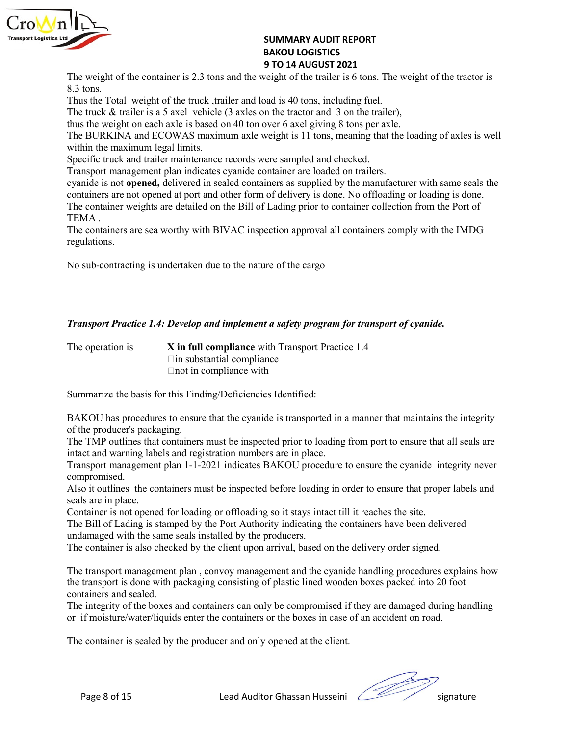

SUMMARY AUDIT REPORT<br>BAKOU LOGISTICS<br>9 TO 14 AUGUST 2021<br>veight of the trailer is 6 tons. The weight of the tractor is<br>pad is 40 tons, including fuel. SUMMARY AUDIT REPORT<br>BAKOU LOGISTICS<br>9 TO 14 AUGUST 2021<br>veight of the trailer is 6 tons. The weight of the tractor is<br>pad is 40 tons, including fuel.<br>n the tractor and 3 on the trailer), **SUMMARY AUDIT REPORT<br>BAKOU LOGISTICS<br>9 TO 14 AUGUST 2021**<br>veight of the trailer is 6 tons. The weight of the tractor is<br>pad is 40 tons, including fuel.<br>n the tractor and 3 on the trailer),<br>over 6 axel giving 8 tons per ax SUMMARY AUDIT REPORT<br>
BAKOU LOGISTICS<br>
9 TO 14 AUGUST 2021<br>
The weight of the container is 2.3 tons and the weight of the trailer is 6 tons. The weight of the tractor is<br>
8.3 tons.<br>
Thus the Total weight of the truck, trai **SUMMARY AUDIT REPORT**<br>**BAKOU LOGISTICS**<br>**BAKOU LOGISTICS**<br>**9 TO 14 AUGUST 2021**<br>**RAKOU LOGISTICS**<br>**8.3** tons.<br>Thus the Total weight of the truck, trailer and load is 40 tons, including fuel.<br>The truck & trailer is a 5 axe

SUMMARY AUDIT REPORT<br> **EXECUTE:** STO 14 AUGUST 2021<br>
The weight of the container is 2.3 tons and the weight of the trailer is 6 tons. The weight of the tractor is<br>
8.3 tons.<br>
Thus the Total weight of the truck, trailer and **SUMMARY AUDIT REPORT**<br> **EXECUTE: BAKOU LOGISTICS**<br> **EXECUTE ANOTE ANOTE ANOTE AND SEVERT AND SEVERT AND SEVERT AND SEVERT THE TOTAL WEIGHT OF THE THAT THE THAT THE THAT THE THAT THE THAT THE THE THAT AND the trailer is SUMMARY AUDIT REPORT**<br> **EXERCISE AXEL AND LOGISTICS**<br> **EXERCISTS**<br> **EXERCISTS**<br> **EXERCISTS**<br> **EXERCISTS**<br> **EXERCISTS**<br> **EXERCISTS**<br> **EXERCISTS**<br> **EXERCISTS**<br> **EXERCISTS**<br> **EXERCISTS**<br> **EXERCISTS**<br> **EXERCISTS**<br> **EXERCISTS SUMMARY AUDIT REPORT**<br> **BAKOU LOGISTICS**<br> **BYO 14 AUGUST 2021**<br>
The weight of the container is 2.3 tons and the weight of the trailer is 6 tons. The weight of the tractor is<br>
8.3 tons.<br>
The truck & trailer is a 5 axel veh

within the maximum legal limits. SUMMARY AUDIT REPORT<br> **EXECUTE:** SANDIT CONDUCT AND TREPORT<br>
SANDIT CONDUCT SAND LOGISTICS<br>
SPECIFIC TO 14 AUGUST 2021<br>
SANDIT ARE SONS. The weight of the tractor is<br>
Thus the Total weight of the truck trailer main load is **EXECT:**<br> **EXECT:**<br> **EXECT:**<br> **EXECT:**<br> **EXECT:**<br> **EXECT:**<br> **EXECT:**<br> **EXECT:**<br> **EXECT:**<br> **EXECT:**<br> **EXECT:**<br> **EXECT:**<br> **EXECT:**<br> **EXECT:**<br> **EXECT:**<br> **EXECT:**<br> **EXECT:**<br> **EXECT:**<br> **EXECT:**<br> **EXECT:**<br> **EXECT:**<br> **EXECT:**<br> **E Example is not opened,** delivered in sealed containers as supplied by the manufacturer of the Night of the Container is 2.3 tons and the weight of the trailer is 6 tons. The weight of the tractor is Thus the Total weight **Example 12**<br> **Containers are not operator BAKOU LOGISTICS**<br> **Containers are not a AUGUSTICS**<br> **Containers are not a AUGUSTICS**<br> **Containers are not also and the weight of the trailer is 6 tons. The weight of the tractor The container is 2.3** tons and the weight of the container is 2.3 tons and the weight of the trailer is 6 tons. The weight of the tractor is R3 stons.<br>The weight of the container is 2.3 tons and the weight of the trailer **SUMMARY AUDIT REPORT**<br> **EXERCISE ANCE AND SUMMARY AUDIT REPORT**<br> **EXERCISE ANCE AND ISSUE AND STATE AND STATE AND STATE AND INCRED STATES.**<br>
The weight of the container is 2.3 tons and the weight of the trailer is 6 tons. **SUMMARY AUDIT REPORT**<br> **EXERCTS ARKOU LOGISTICS**<br> **EXERCTS ARKOU LOGISTICS**<br> **EXERCTS ADOMS**<br> **EXERCTS ADOMS**<br> **EXERCTS**<br> **EXERCTS**<br> **EXERCTS**<br> **EXERCTS**<br> **EXERCTS**<br> **EXECTS**<br> **EXECTS**<br> **EXECTS**<br> **EXECTS**<br> **EXECTS**<br> **EXEC SUMMARY AUDIT REPORT<br>
BAKOU LOGISTICS<br>
The weight of the container is 2.3 tons and the weight of the trailer 2021<br>
The weight of the container is 2.3 tons and the weight of the trailer is 6 tons. The weight of the tractor** 8.3 tons.<br>Thus the Total weight of the truck trailer and load is 40 tons, including fuel.<br>The truck & trailer is a 5 axel vehicle (3 axles on the tractor and 3 on the trailer).<br>The BURKINA and ECOWAS maximum axle weight i The truck & trailer is a 5 axel vehicle (3 axels on the tractor and 3 on the ration).<br>The BURKINA and ECOWAS maximum axle weight is 11 tons, meaning that the loading of axtes is well<br>the BURKINA and ECOWAS maximum axle we axle is based on 40 ton over 6 axel giving 8 tons per axle.<br>
DWAS maximum axle weight is 11 tons, meaning that the loading of axles is well<br>
all limits.<br>
Ill minits.<br>
Ill minits are correlated container are loaded on trail DWAS maximum axle weight is 11 tons, meaning that the loading of axles is well<br>all imits.<br>
maintenance records were sampled and checked.<br>
Main indicates cyanide container are loaded on trailers.<br>
Elivered in sealed contain Specific truck and trailer maintenance records were sampled and checked.<br>
Transport management plan indicates cyanide container are loaded on trailers.<br>
Cyanide is not opened, delivered in scaled containers as supplied by eyanide is not **opened**, delivered in sealed containers as supplied by the manufacturer with same seals the containers are not opened at port and other form of delivery is done. No offloading or loading or loading the cont containers are not opened at port and other form of delivery is done. No offloading or loadin<br>TEMA.<br>The container weights are detailed on the Bill of Lading prior to container collection from the<br>TEMA.<br>The containers are s The container weights are detailed on the Bill of Lading prior to container collection from the Port of<br>
TEMA .<br>
THEMA .<br>
The containers are sea worthy with BIVAC inspection approval all containers comply with the IMDG<br>
Th

regulations.

TEMA.<br>
The containers are sea worthy with BIVAC inspection approval all containers comply with the IMDG<br>
regulations.<br>
No sub-contracting is undertaken due to the nature of the cargo<br> **Transport Practice 1.4: Develop and i** The containers are sea worthy with BIVAC inspection approval all containers comply with the IMDG<br>
No sub-contracting is undertaken due to the nature of the cargo<br>  $\alpha$ <br>  $\alpha$  Transport Practice 1.4: Develop and implement a No sub-contracting is undertaken due to the nature of the cargo<br> **Transport Practice 1.4: Develop and implement a safety program for transport of cyanide.**<br>
The operation is<br>  $\begin{array}{c}\n\text{X in full compliance with Transport Practice 1.4} \\
\text{Lim substandard compliance}\n\end{array}$ <br>
Sum No sub-contracting is undertaken due to the nature of the cargo<br> **Transport Practice 1.4: Develop and implement a safety program for transport of cy<br>
The operation is<br>**  $\begin{array}{l}\n\text{X in full compliance with Transport Practice 1.4} \\
\hline\n\end{array}$  **\begin{array}{l}\n\text{This substantial compliance} \\ Transport Practice 1.4: Develop and implement a safety program for transport of cyanide.**<br>The operation is<br>The operation is<br>Container in compliance with Transport Practice 1.4<br>Container in compliance with<br>Sammarize the ba **Transport Practice 1.4: Develop and implement a safety program for transport of cyantide.**<br>The operation is<br>  $\blacksquare$  In substantial compliance<br>  $\blacksquare$  In substantial compliance<br>
Summarize the basis for this Finding/Defici

compromised.

mport management plan 1-1-2021 indicates BAKOU procedure to ensure the cyande integrity never<br>nyromised.<br>of it outlines the containers must be inspected before loading in order to ensure that proper labels and<br>a tare in pl Transport Practice 1.4: Develop and implement a safety program for transport of cyanide.<br>The operation is<br>  $\therefore$  In full compliance with Transport Practice 1.4<br>  $\therefore$  In fundamation compliance<br>
Summarize the basis for this **Transport Practice 1.4: Develop and implement a safety program for transport of cyanide.**<br>The operation is<br>in substantial compliance<br>in in compliance<br>in in compliance<br>in in compliance<br>in in compliance<br>for the rotation in The operation is<br>  $X$  in full compliance with Transport Practice 1.4<br>  $\Box$  in substantial compliance<br>  $\Box$  hot in compliance with<br>
Summarize the basis for this Finding/Deficiencies Identified:<br>  $\Box$ AKOU has procedures to The operation is<br>  $X$  in full compliance with Transport Practice 1.4<br>  $\Box$  in substantial compliance<br>
Summarize the basis for this Finding/Deficiencies Identified:<br>
BAKOU has procedures to ensure that the cyanide is trans containers and sealed. Front in compliance with<br>
EMACOU has procedures to ensure that the cyanide is transported in a manner that maintains the integrity<br>
of the producer's packaging.<br>
The TMP outlines that containers must be inspected prior to Summarize the basis for this Finding/Deficiencies Identified:<br>
BAKOU has procedures to ensure that the cyanide is transported in a manner that maintains the integrity<br>
of the producer's packaging.<br>
The TMP outlines tals co BAKOU has procedures to ensure that the cyanide is transported in a manner that maintains the integrity<br>of the producer's packaging.<br>The TMP outlines that containers must be inspected prior to loading from port to ensure t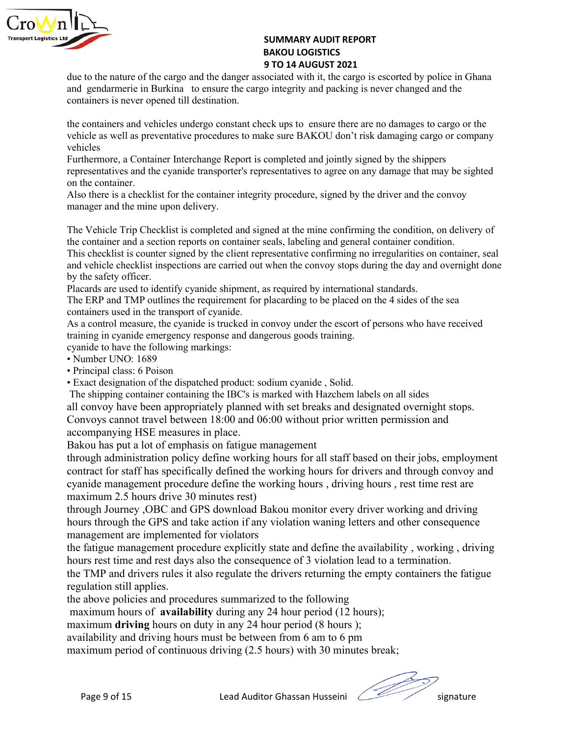

SUMMARY AUDIT REPORT<br>BAKOU LOGISTICS<br>9 TO 14 AUGUST 2021<br>ociated with it, the cargo is escorted by police in Ghana<br>o integrity and packing is never changed and the SUMMARY AUDIT REPORT<br>BAKOU LOGISTICS<br>9 TO 14 AUGUST 2021<br>sociated with it, the cargo is escorted by police in Ghana<br>o integrity and packing is never changed and the SUMMARY AUDIT REPORT<br>BAKOU LOGISTICS<br>9 TO 14 AUGUST 2021<br>ociated with it, the cargo is escorted by police in Ghana<br>o integrity and packing is never changed and the<br>eck ups to ensure there are no damages to cargo or the<br>eck **SUMMARY AUDIT REPORT**<br>**BAKOU LOGISTICS**<br>**9 TO 14 AUGUST 2021**<br>and gendarmerie in Burkina to ensure the cargo integrity and packing is escorted by police in Ghana<br>containers is never opened till destination.<br>the containers **SUMMARY AUDIT REPORT**<br>**BAKOU LOGISTICS**<br>**BAKOU LOGISTICS**<br>**STO 14 AUGUST 2021**<br>and gendarmerie in Burkina to ensure the cargo integrity and packing is never changed and the<br>containers is never opened till destination.<br>the

**EXEMPLE SUMMARY AUDIT REPORT**<br> **EXEMPLE STO 14 AUGUST ZO21**<br> **EXERCISE STO 14 AUGUST ZO21**<br> **EXERCIS STO 14 AUGUST ZO21**<br>
and gendarmerie in Burkina to ensure the cargo integrity and packing is never changed and the<br>
cont **SUMMARY AUDIT REPORT**<br> **EXERCATE: STO 14 AUGUST 2021**<br> **EXERCATE: STO 14 AUGUST 2021**<br> **EXERCATE: EXERCATE UPS**<br> **EXERCATE: EXERCATE UPS**<br> **EXERCATE: EXERCATE UPS**<br> **EXERCATE: EXERCATE UPS**<br> **EXERCATE: EXERC EXEMPLE SUMMARY AUDIT REPORT**<br> **BAKOU LOGISTICS**<br> **BYO 14 AUGUST 2021**<br> **STO 14 AUGUST 2021**<br> **STO 14 AUGUST 2021**<br> **EXEMPLE AUGUST 2021**<br> **EXEMPLE AUGUST 2021**<br> **EXEMPLE AUGUST 2021**<br> **EXEMPLE AUGUST 2021**<br> **EXEMPLE AUGU** vehicles FURNET MANATY AUDIT REPORT<br> **EXERCUTE ANTIFUL ANTIFUL STATE OF STATE STATE STATE STATE STATE STATE STATE STATE STATE SHIPPER STATE SHIPPER SINCT STATE INTERCHANGE AND INTERCHANGE REPORT AND police in Ghana<br>
the containers Example 12**<br> **EXECUTE:** SUMMARY AUDIT REPORT<br>
BAKOU LOGISTICS<br>
9 TO 14 AUGUST 2021<br>
due to the nature of the cargo and the danger associated with it, the cargo is escorted by police in Ghana<br>
containers is never opened ti **SUMMARY AUDIT REPORT**<br> **SUMMARY AUDIT REPORT**<br> **BAKOU LOGISTICS**<br> **BAKOU LOGISTICS**<br> **ON 14 AUGUST 2021**<br> **SUMMARY AUDIT REPORT**<br> **BAKOU LOGISTICS**<br> **ON 14 AUGUST 2021**<br> **ON 14 AUGUST 2021**<br> **ON 14 AUGUST 2021**<br> **ON 14 AU SUMMARY AUDIT REPORT**<br> **BAKOU LOGISTICS**<br> **BAKOU LOGISTICS**<br> **BAKOU LOGISTICS**<br> **BAKOU ALSOLST 2021**<br> **EXECUTE TO FACT AND ART AND ANTIFICATE AND AND ART AND AND ART AND ART AND ART AND ART AND ARROLL ON THE CONTAINER IN EXERCT:**<br> **EXERCT:**<br> **EXERCT:**<br> **EXERCT:**<br> **EXERCT:**<br> **EXERCT:**<br> **EXERCT:**<br> **EXERCT:**<br> **EXERCT:**<br> **EXERCT:**<br> **EXERCT:**<br> **EXERCT:**<br> **EXERCT:**<br> **EXERCT:**<br> **EXERCT:**<br> **EXERCT:**<br> **EXERCT:**<br> **EXERCT:**<br> **EXERCT:**<br> **EXERCT:**<br> **E EXEMPLE SET THE SET THE SET THE SET THE SET THE SET THE SET THE SET THE SET THE DRIVIS TRIP CHECK INTERPORT SAND LOGISTICS 2021**<br>and gendamerie in Burkina to ensure the cargo integrity and packing is never changed and the **EXEMPLE 1999**<br> **EXEMPLE ANOU LOGISTICS**<br> **EXEMPLE ANOU LOGISTICS**<br> **EXEMPLE ANOU LOGISTICS**<br> **EXEMPLE ANOU LOGISTICS**<br> **EXEMPLE ANOT CONTIFICAT ANOT CONTIFICAT ANOTE ANOTE ANOTE ANOTE ANOTE ANOTE ANOTE ANOTE ANOTE ANOTE A THE SET ASSEM CONDER SET ASSEMBED AND SUMMARY AUDIT REPORT<br>
BAKOU LOGISTICS<br>
3 TO 14 AUGUST 2021<br>
2011 AUGUST 2021<br>
and gendarmerie in Burkina to ensure the cargo integrity and packing is never changed and the<br>
containers EXEMPLE 1999**<br> **EXEMPLE 1999**<br> **EXELITE:**<br> **EXELITE:**<br> **EXELITED:**<br> **EXELITED:**<br> **EXELITED:**<br> **EXELITED:**<br> **EXELITED:**<br> **EXELITED:**<br> **EXELITED:**<br> **EXELITED:**<br> **EXELITED:**<br> **EXELITED:**<br> **EXELITED:**<br> **EXELITED:**<br> **EXELITED: SUMMARY AUDIT REPORT**<br> **BAKOU LOGISTLES**<br> **BAKOU LOGISTCS**<br> **BAKOU LOGISTCS**<br> **BAKOU LOGISTCS**<br> **EVALUS TO 14 AUGUST 2021**<br>
and gendarmeric in Burkina to ensure the cargo integrity and packing is never change<br>
containers **EXECTS FOREX ARENT CONSTRES.**<br> **EXECTS FOR ANOTICATS TO 21**<br> **EXECTS TO 14 AUGUST 2021**<br> **EXECTS TO 14 AUGUST 2021**<br> **EXECTS FOR THE TO HATE TO ENSIDE TO THE CONSTRES TO CONSTRENT CONSTRES IN CONSTRENT CONSTRES IN the con 970 14 AUGUST 2021 ANGUST 2021 ANGUST 2021 ANGUST 2021 ANGUST 2021 ANGUST 2021 ANGUST 2021 ANGUST ANGUST ANGUST ANGUST ANGUST AND THE SURFARE IS in every cheminers is never opened till destination.<br>
Screen the containers** due to the nature of the cargo and the danger associated with it, the cargo is escorted by police in Ghana<br>containers in Burkina to ensure the erago integrity and packing is never changed and the<br>containers is never opened and gendarmerie in Burkina to ensure the cargo integrity and packing is never changed and the<br>containers is never opened till desimation.<br>Weiches undergree constant check ups to ensure there are no damages to cargo or the<br> containers is never opened till destination.<br>the containers and vehicles undergo constant check ups to ensure there are no dannaging cargo or the<br>vehicle as well as preventative procedures to make sure BAKOU don't risk dam the containers and vehicles undergo constant check ups to ensure there are no damages to cargo or the vehicle as well as preventative procedures to make sure BAKOU don't risk damaging cargo or company vehicles.<br>The vehicle the containers and vehicles undergo constant check ups to ensure there are no damages to vehicles<br>
vehicles<br>
vehicles<br>
vehicles<br>
vehicles<br>
vehicles<br>
Furthermore, a Container Interchange Report is completed and jointly sign

- 
- 

vehicle as well as preventative procedures to make sure BAKOU don't risk damaging cargo of<br>
vehicles<br>
revented:<br>
Furthermore, a Container Interchange Report is completed and jointly signed by the shippers<br>
representatives vehicles<br>
Furthermore, a Container Interchange Report is completed and jointly signed by the shippers<br>
Furthermore.<br>
Furthermore,<br>
representatives and the evanide transporter's representatives to agree on any damage that m Furthermore, a Container Interchange Report is completed and jointly signed by the shippers<br>entersementives and the cyanide transporter's representatives to agree on any damage that may be sighted<br>a) the bottlainer.<br>The Ve representatives and the eyanide transporter's representatives to agree on any damage that may be sighted Also there is a checklist for the container integrity procedure, signed by the driver and the convoy manager and the on the container.<br>
On the container integrity procedure, signed by the driver and the convoy<br>
manager and the mine upon delivery.<br>
The Vehicle Trip Checklist is completed and signed at the mine confirming the condition, on

the starf has specifically defined the working hours for drivers and through convoy and<br>nide management procedure define the working hours, driving hours, rest time rest are<br>nime management procedure define the working ho Also there is a checklist for the container integrity procedure, signed by the driver and the convoy<br>Manager and the mine upon delivery.<br>The Vehicle Trip Checklist is completed and signed at the mine confirming the conditi manager and the mune upon delivery.<br>The Vehicle Trip Checklist is completed and signed at the mine confirming the condition, on delivery of<br>the container and a section reports on container seals, labeling and general conta The Vehiele Trip Checklist is completed and signed at the mine confirming the condition, on delivery of<br>this checklist is counter signed by to container seals, labeling and general container. scal<br>This checklist is counter The Vendee Hr potencials as completed and signal at me inter columning the container and a section reports on container seals, labeling and general container condition.<br>This checklist is counter signed by the cient represe and which and sociol reports of contains scass, anoting and guarant container, evaluated the selection is energy to the selective confining no irregularities on container, seal and whele checklist is negative contine are c The variable checklist inspection are calculated when the comuniting to are<br>approached encoding the state of the state of Placeards are used by the state of Placeards are used to identify eyanide shipment, as required by i by the safety officer.<br>Placeards are used to identify cyanide shipment, as required by international standards.<br>The ERP and TMP outlines the requirement for placearing to be placed on the 4 sides of the sea<br>The ERP and TMP Placards are used to identify cyanide shipment, as required by international standards.<br>The ERP and TMP outlines the requirement for placarding to be placed on the 4 sides of the sea<br>containers used in the transport of cy The ERP and TMP outlines the requirement for placarding to be placed on the 4 sides of the sea<br>
containers used in the transport of cyanide.<br>
As a control measure, the cyanide is trucked in convoy under the escort of pers containers used in the transport of cyanide.<br>
As a control measure, the expanide is trucked in convoy under the escort of persons who have received<br>
training in cyanide to three the following markings:<br>
Parameline to the c As a control meantate, the cyanide is trucked in convoy under the escort of persons who have received eyanide to have the following markings. Number UND-1689<br>
Primeipal class of Poison<br>
Photophel class of Poison<br>
Photophel training in vyanide emergency response and dangerous goods training.<br>
reyamide to have the following markings:<br>
Phoripal class 6 Poson<br>
Phoripal control and the dispatched product: sodium cyamide, Solid.<br>
The shipping cont eyande to have the following markings:<br>
eyande to have the following markings:<br>
• Number UNO: 1689<br>
• Exact designation of the dispatched product: sodium cyanide, Solid.<br>
• Exact designation of the dispatched product: sod Funnor ONO: Toso<br>
Frincipal class: 6 Poison<br>
FERcat designation of the dispatched product: sodium eyanide, Solid.<br>
The shipping container containing the IBC's is marked with Hazchem labels on all sides<br>
all convoy have be r numelyn chase or ensual medial and the Si smarked whole schola.<br>
Fixact designation of the dispatched product: sodium cyanide , Solid.<br>
The shipping containment containing the IRC's is marked with latcehem labels on all <sup>2</sup> r.ext designation of the displanetic potoact: sound to the displanetic potoact is the shoping container ontaining the IBC's is marked with Hazchem labels on all sides<br>all corony have been appropriately planned with se From a manneution to the math and the stress in the stress and acsignated overnight stops.<br>Convoys cannot travel between 18:00 and 06:00 without prior written permission and<br>accompanying HSE measures in 910co.<br>Bakou has p metanony and the between 18:00 and 06:00 without prior with the permission and<br>convoys cannot travel between 18:00 and 06:00 without prior written permission and<br>Bakou has put a lot of emphasis on faigue management<br>through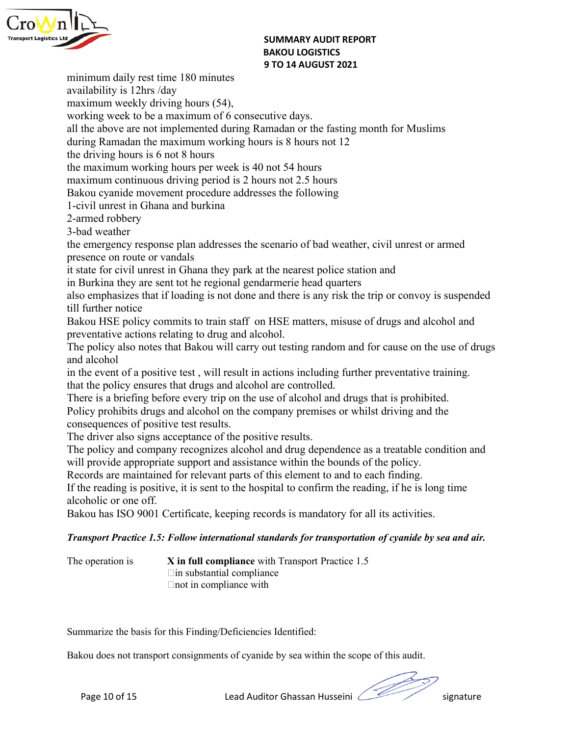

SUMMARY AUDIT REPORT<br>BAKOU LOGISTICS<br>9 TO 14 AUGUST 2021 SUMMARY AUDIT REPORT<br>BAKOU LOGISTICS<br>9 TO 14 AUGUST 2021<br>.utive days. SUMMARY AUDIT REPORT<br>BAKOU LOGISTICS<br>9 TO 14 AUGUST 2021<br>utive days.<br>madan or the fasting month for Muslims SUMMARY AUDIT REPORT<br>
BAKOU LOGISTICS<br>
9 TO 14 AUGUST 2021<br>
availability is 12hrs /day<br>
maximum weekly driving hours (54),<br>
working week to be a maximum of 6 consecutive days.<br>
all the above are not implemented during Rama **EXEMPLE 2018**<br> **EXEMPLE 2018 IN AVAIL SUMMARY AUDIT REPORT**<br> **BAKOU LOGISTICS**<br> **BAKOU LOGISTICS**<br> **BAKOU LOGISTICS**<br> **AVAIL SUMMARY AUDIT REPORT**<br> **BAKOU LOGISTICS**<br> **AVAIL SUMMARY AUDIT REPORT**<br> **AVAIL SUMMARY AUDIT REP** SUMMARY AUDIT REPORT<br>
BAKOU LOGISTICS<br>
9 TO 14 AUGUST 2021<br>
minimum daily rest time 180 minutes<br>
availability is 12hrs /day<br>
maximum weekly driving hours (54),<br>
working week to be a maximum of 6 consecutive days.<br>
all the SUMMARY AUDIT REPORT<br>
BAKOU LOGISTICS<br>
BAKOU LOGISTICS<br>
9 TO 14 AUGUST 2021<br>
maximum weekly driving hours (54),<br>
working week to be a maximum of 6 consecutive days.<br>
all the above are not implemented during Ramadan or the **EXECUTE:**<br> **EXECUTE:**<br> **EXECUTE:**<br> **EXECUTE:**<br> **EXECUTE:**<br> **EXECUTE:**<br> **EXECUTE:**<br> **EXECUTE:**<br> **EXECUTE:**<br> **EXECUTE:**<br> **EXECUTE:**<br> **EXECUTE:**<br> **EXECUTE:**<br> **ENDING TO ANOSITICS**<br> **EXECUTE:**<br> **EXECUTE:**<br> **EXECUTE:**<br> **EXECUT SUMMARY AUDIT REPORT<br>
BAKOU LOGISTICS**<br> **EXERCULTS AND MARY AUDIT REPORT**<br> **EXERCULTS**<br> **EXERCULTS**<br> **EXERCULTS**<br> **EXERCULTS**<br> **EXERCULTS**<br> **EXERCULTS**<br> **EXERCULTS**<br> **EXERCULTS**<br> **EXERCULTS**<br> **EXERCULTS**<br> **EXERCULTS**<br> **EX EXERCT:**<br> **EXERCT:**<br> **EXERCT:**<br> **EXERCT:**<br> **EXERCT:**<br> **EXERCT:**<br> **EXERCT:**<br> **EXERCT:**<br> **EXERCT:**<br> **EXERCT:**<br> **EXERCT:**<br> **EXERCT:**<br> **EXERCT:**<br> **EXERCT:**<br> **EXERCT:**<br> **EXERCT:**<br> **EXERCT:**<br> **EXERCT:**<br> **EXERCT:**<br> **EXERCT:**<br> **E EXERCT:**<br> **EXERCT:**<br> **EXERCT:**<br> **EXERCT:**<br> **EXERCT:**<br> **EXERCT:**<br> **EXERCT:**<br> **EXERCT:**<br> **EXERCT:**<br> **EXERCT:**<br> **EXERCT:**<br> **EXERCT:**<br> **EXERCT:**<br> **EXERCT:**<br> **EXERCT:**<br> **EXERCT:**<br> **EXERCT:**<br> **EXERCT:**<br> **EXERCT:**<br> **EXERCT:**<br> **E EXERTM:**<br> **EXERTM:**<br> **EXERTM:**<br> **EXERTM:**<br> **EXERTM:**<br> **EXERTM:**<br> **EXERTM:**<br> **EXERTM:**<br> **EXERTM:**<br> **EXERTM:**<br> **EXERTM:**<br> **EXERTM:**<br> **EXERTM:**<br> **EXERTM:**<br> **EXERTM:**<br> **EXERTM:**<br> **EXERTM:**<br> **EXERTM:**<br> **EXERTM:**<br> **EXERTM:**<br> **E BAKOU LOGISTICS**<br> **BAKOU LOGISTICS**<br> **BAKOU LOGISTICS**<br> **BAKOU LOGISTICS**<br> **BAKOU LOGISTICS**<br> **BAKOU LOGISTICS**<br> **BAKOU LOGISTICS**<br> **BAKOU LOGISTICS**<br> **BAKOU LOGISTICS**<br> **BAKOU CONSTICS**<br> **EXECUTE MOVEM**<br> **EXECUTE MOVEM**<br> **Example 10**<br> **Example 180**<br> **Example 180**<br> **Example 180**<br> **Example 180**<br> **Example 180**<br> **Example 180**<br> **Example 180**<br> **Example 180**<br> **Example 14**<br> **Example 180**<br> **Example 14**<br> **Example 18**<br> **Example 18**<br> **Example 18**<br> **Ex EXERCT:**<br> **EXERCT:**<br> **EXERCT:**<br> **EXERCT:**<br> **EXERCT:**<br> **EXERCT:**<br> **EXERCT:**<br> **EXERCT:**<br> **EXERCT:**<br> **EXERCT:**<br> **EXERCT:**<br> **EXERCT:**<br> **EXECT:**<br> **EXECT:**<br> **EXECT:**<br> **EXECT:**<br> **EXECT:**<br> **EXECT:**<br> **EXECT:**<br> **EXECT:**<br> **EXECT:**<br> **SUMMARY AUDIT REPORT**<br> **SUMMARY AUDIT REPORT**<br> **EXECUTE:**<br> **EXECUTE:**<br> **EXECUTE:**<br> **EXECUTE:**<br> **EXECUTE:**<br> **EXECUTE:**<br> **EXECUTE:**<br> **EXECUTE:**<br> **EXECUTE:**<br> **EXECUTE:**<br> **EXECUTE:**<br> **EXECUTE:**<br> **EXECUTE:**<br> **EXECUTE:**<br> **EXECU EXERCT:**<br> **EXERCT:**<br> **EXERCT:**<br> **EXERCT:**<br> **EXERCT:**<br> **EXERCT:**<br> **EXERCT:**<br> **EXERCT:**<br> **EXERCT:**<br> **EXERCT:**<br> **EXERCT:**<br> **EXERCT:**<br> **EXERCT:**<br> **EXECT:**<br> **EXECT:**<br> **EXECT:**<br> **EXECT:**<br> **EXECT:**<br> **EXECT:**<br> **EXECT:**<br> **EXECT:**<br> **EXERCT:**<br> **EXERCT:**<br> **EXERCT:**<br> **EXERCT:**<br> **EXERCT:**<br> **EXERCT:**<br> **EXERCT:**<br> **EXERCT:**<br> **EXERCT:**<br> **EXERCT:**<br> **EXERCT:**<br> **EXERCT:**<br> **EXERCT:**<br> **EXERCT:**<br> **EXERCT:**<br> **EXERCT:**<br> **EXERCT:**<br> **EXERCT:**<br> **EXERCT:**<br> **EXERCT:**<br> **E SUMMARY AUDIT REPORT**<br> **EXECUTE:** THE SURVENTER SURVENTER SURVENTER SURVENTER SURVENTER UNRELL TO A AUGUST 2021<br>
THE DANCE SURVENTER IN CONSULTS IN EXAMPLE THE NEW THEORY OF CONSULTS (A)<br>
THE AND THE NEW SURVENTER SURVENT **Example 19** They increased to the regional gendarmeric Service Fig. 38<br> **EXECUTES**<br> **EXECUTES**<br> **EXECUTES**<br> **EXECUTES**<br> **EXECUTES**<br> **EXECUTES**<br> **EXECUTES**<br> **EXECUTES**<br> **EXECUTES**<br> **EXECUTES**<br> **EXECUTES**<br> **EXECUTES**<br> **EXEC** minimum daily rest time 180 minutes<br> **3170 14 AUGUST 2021**<br>
availability is 12hrs /day<br>
maximum wcekly driving hours (54),<br>
working week to be a maximum of 6 consecutive days.<br>
all the above are not implemented during Rama minimum daily rest time 180 minutes<br>
availability is 12hrs /day<br>
maximum weekly driving hours (54),<br>
maximum of 6 consecutive days.<br>
all the above are not implemented during Ramadan or the fasting month for Mu<br>
during Rama munimum weekly driving hours and the committed and particular and weekly developed and the above are not implemented during Ramadan or the fasting month for Muslims all the above are not implemented during Ramadan or the f preventative actions relating to drug and alcohol. mann necknow and more that Bakou and other and the above are on the molecular that the book are not inplemented during Ramadan on the maximum overking hours is 8 hours not 12 the driving hours is 6 not 8 hours<br>maximum work what the above are of intentimant of or denoted and the above are not implemented during Ramadan or the fasting month<br>during Ramadan the maximum working hours is 8 hours not 12<br>the driving hours is 6 not 8 hours<br>maximum co and unity the positive test , will result in actions including further preventative test of a positive plus in a positive test of a bouns maximum continuous driving period is 2 hours not 2.5 hours<br>the driving hours is 6 no the maximum vorking polarists of the polaristic streament and the driving bours is 6 not 8 hours<br>the driving bours is 6 not 8 hours and alternative and alternative maximum continuous driving period is 2 hours not 2.5 hours The maximum overhorious of the state of a brief of a brief on the drugs maximum overhing provide is 2 hours of 2.5 hours absolu cyanide movement procedure ddresses the following 1-civil unrest in Ghana and burkina<br>
3-bad w we maximum continuous driving period is 2 hours of 2.5 hours<br>Baximum continuous driving period is 2 hours not 2.5 hours<br>1-civil unrest in Ghana and burkina<br>1-civil unrest in Ghana and burkina<br>2-armed robbery<br>3-bad weather<br> mannum vinutation of a positive test results.<br>
The structure of the section of the based of the positive test results.<br>
The consequence of positive the emergency response plan addresses the scenario of bad weather, civil u Datein optimate and roboth and results.<br>
T-civil unrest in Ghana and burkina<br>
2-simed robotry<br>
3-bad weather<br>
the emergency response plan addresses the scenario of bad weather, civil unrest or armed<br>
13-bad weather<br>
it sta The matter of and weather and company and and the policies and weather, civil unrest or armed orders 3-bad weather<br>the emergency response plan addresses the scenario of bad weather, civil unrest or armed<br>tristate for civil 2 shown to the emergion parameteric support and detects of the emergion presence on route or winds<br>also emergion presence on route or winds it state for eivil unrest in Ghana they park at the mearest police station and<br>in be an extended of the energy response plan addresses the scenario of bad weather, civil unrest or armed<br>presence on route or vandals<br>it state for civil unrest in Ghana they park at the nearest police station and<br>in Burkin If state for civil unrest in Ghana they park at the nearest police state in or presence on route or vandals<br>in Burkina top cyris of in Ghana they park at the nearest police station and<br>in Burkina they are sent to the regio it state for civil unrest in Ghana they park at the nearest police station and<br>in Burkina they are sent to the regional gendarmeric head quarters<br>also emphasizes that if loading is not done and there is any risk the trip in Barkow otheration of the records in the value of the records in the particle of the particle is any risk the trip or convoy is suspended also emphasizes that if loading is not done and there is any risk the trip or con Any employs and comparison that in columple is not once and under is any instructe up of convoy is suspensed.<br>
Bakou HSE policy commits to train staff on HSE matters, misuse of drugs and alcohol and<br>
The policy also notes Hava HSE policy commits to train start on HSE: matters, misusc of drugs and alcohol and propertentative actions relating to drug and alcohol.<br>The policy also notes that Bakou will carry out testing random and for cause on lating to drug and alcohol.<br>
hat Bakou will carry out testing random and for cause on the use of drugs<br>
we test, will result in actions including further preventative training.<br>
that drugs and alcohol are controlled.<br>
ore hat Bakou will carry out testing random and for cause on the use of drugs<br>ve test, will result in actions including further preventative training.<br>that drugs and alcohol are controlled.<br>and alcohol on the company premises There is a briefing before every trip on the use of alcohol and drugs that is prohibited.<br>
Policy prohibits drugs and alcohol on the company premises or whilst driving and the<br>
Policy prohibits drugs and alcohol on the com

phovide appropriate support and assistance within the boundar of the plote,<br>
probable crocks are maintained for relevant parts of this element to and to each finding.<br>
the reading is positive, it is sent to the hospital to From the son signals consigned the positive test results.<br>The policy is transportance of the positive results.<br>The policy and company recognizes alcohol and drug dependence as a treatable condition and<br>will provide appropr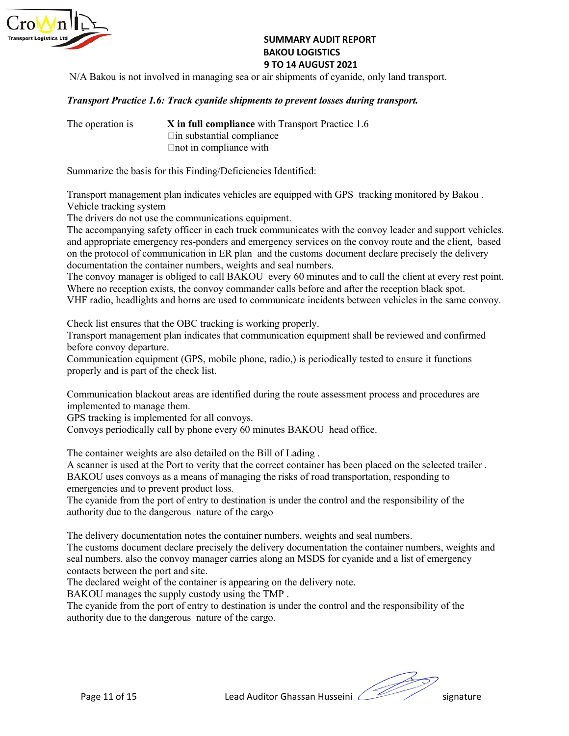

## SUMMARY AUDIT REPORT<br>BAKOU LOGISTICS<br>9 TO 14 AUGUST 2021<br>air shipments of cyanide, only land transport.<br>tts to prevent losses during transport. SUMMARY AUDIT REPORT<br>BAKOU LOGISTICS<br>9 TO 14 AUGUST 2021<br>air shipments of cyanide, only land transport.<br>tts to prevent losses during transport. SUMMARY AUDIT REPORT<br>BAKOU LOGISTICS<br>9 TO 14 AUGUST 2021<br>air shipments of cyanide, only land transport.<br>tts to prevent losses during transport.<br>ith Transport Practice 1.6

SUMMARY AUDIT REPORT<br>
BAKOU LOGISTICS<br>
9 TO 14 AUGUST 2021<br>
N/A Bakou is not involved in managing sea or air shipments of cyanide, only land transport.<br>
Fransport Practice 1.6: Track cyanide shipments to prevent losses dur SUMMARY AUDIT REPORT<br>
BAKOU LOGISTICS<br>
9 TO 14 AUGUST 2021<br>
Transport Practice 1.6: Track cyanide shipments to prevent losses during transport.<br>
The operation is<br>
X in full compliance with Transport Practice 1.6<br>
The opera SUMMARY AUDIT REPORT<br>
BAKOU LOGISTICS<br>
9 TO 14 AUGUST 2021<br>
Transport Practice 1.6: Track cyanide shipments to prevent losses during transport.<br>
The operation is<br>
X in full compliance with Transport Practice 1.6<br>  $\Box$  in s SUMMARY AUDIT REPORT<br>
BAKOU LOGISTICS<br>
9 TO 14 AUGUST 2021<br>
ed in managing sea or air shipments of cyanide, only land transport.<br>
Track cyanide shipments to prevent losses during transport.<br>
X in full compliance with Trans SUMMARY AUDIT REPORT<br>
BAKOU LOGISTICS<br>
9 TO 14 AUGUST 2021<br>
ved in managing sea or air shipments of cyanide, only land transport.<br>
Track cyanide shipments to prevent losses during transport.<br>
X in full compliance with Tra SUMMARY AUDIT REPORT<br>
BAKOU LOGISTICS<br>
9 TO 14 AUGUST 2021<br>
Transport<br>
Transport Practice 1.6: Track cyanide shipments to prevent losses during transport.<br>
The operation is<br>
X in full compliance with Transport Practice 1.6

SUMMARY AUDIT REPORT<br> **EXERCUTE:** THE STAND IS ANOTE AND ISSUE TO A AUGUST 2021<br>
Transport Practice 1.6: Track cyanide shipments to prevent losses during transport.<br>
The operation is<br>
X in full compliance with Transport Pr SUMMARY AUDIT REPORT<br>
BAKOU LOGISTICS<br>
9 TO 14 AUGUST 2021<br>
Transport Practice 1.6: Track cyanide shipments to prevent losses during transport.<br>
The operation is<br>
X in full compliance with Transport Practice 1.6<br>  $\Box$  in s **EXEMPLE STATES SUMMARY AUDIT REPORT**<br> **BAKOU LOGISTICS**<br> **BAKOU LOGISTICS**<br> **PTO 14 AUGUST 2021**<br> **PERIMPERT AND THE DRIVER CONSIST AND THE SERVE OF SURFERIMATION PROPERT PRESPORT.**<br>
The operation is<br>  $\begin{array}{rcl}\n\text{X in full compliance with} \\$ **The accompanying safety of the accompanying search truck communications**<br> **SUMMARY AUDIT REPORT**<br> **Example 19.6 Transport Practice 1.6:** Transport Practice 1.6: Transport Practice 1.6: Transport Practice 1.6: Transport Pr **Example 12**<br> **Example 12**<br> **Example 12**<br> **Example 12**<br> **Example 12**<br> **Example 12**<br> **Example 12**<br> **Example 12**<br> **Example 12**<br> **Example 12**<br> **Example 12**<br> **Example 12**<br> **Example 12**<br> **Example 12**<br> **Example 12**<br> **Example 12 SUMMARY AUDIT REPORT<br>
BAKOU LOGISTICS**<br> **STO 14 AUGUST 2021**<br> **STO 14 AUGUST 2021**<br> **Transport Practice 1.6: Track cyanide shipments of pervent losses during transport.**<br>
The operation is<br>
X in full compliance with Transp **EXERCT:**<br> **EXERCT:**<br> **EXERCT:**<br> **EXERCT:**<br> **EXERCT:**<br> **EXERCT:**<br> **EXERCT:**<br> **EXERCT:**<br> **EXERCT:**<br> **EXERCT:**<br> **EXERCT:**<br> **EXERCT:**<br> **EXERCT:**<br> **EXERCT:**<br> **EXERCT:**<br> **EXERCT:**<br> **EXERCT:**<br> **EXERCT:**<br> **EXERCT:**<br> **EXERCT:**<br> **E** SUMMARY ADDITEEPORT<br>
SHOW IS TO 14 AUGUST 2021<br>
Transport Practice 1.6: Track cyanide shipments of pervent losses during transport.<br>
Transport Practice 1.6: Track cyanide shipments to prevent losses during transport.<br>
The **Existing the manage of the convoy convoy convoy to the convoy convoy convoy convoy depending to the convoy commander of the convoy commander of the convoy commander of the convoy commander and a maximum community of the r STO 14 AUGUST 2021**<br> **Transport Practice 1.6: Track cyanide shipments of operent losses during transport.**<br>
The operation is<br>  $\begin{array}{r}\n\text{X} \text{in full amplitude of } 1.64 \\
\text{In submanical compliance with Transport.} \end{array}$ <br>
The operation is<br>  $\begin{array}{r}\n\text{X} \text{in full amplitude of } 1.64 \\$ **Transport Practice 1.6: Track cyanide shipments to prevent losses during transport.**<br>The operation is<br> **Check Check Check in the Check Check Check Check Check Check Check Check Check Check Check Check Check Sures that the Transport Practice 1.6: Track cyanide shipments to prevent losses during transport.**<br>The operation is<br> $\begin{array}{c}\n\text{X in full compliance with Transport Practice 1.6} \\
\text{C in an substitution compile} \\
\text{Don in compliance with\n\end{array}$ <br>
Summarize the basis for this Finding/Deficiencies Identified:<br>
Tra The operation is<br> **Example 18 K in full compliance** with Transport Practice 1.6<br>
This substantial compliance<br>
Chot in compliance<br>
Chot in compliance<br>
Chot in compliance<br>
Chot in compliance<br>
Chot in Compliance<br>
Summarize The operation is<br>  $\blacksquare$  In this substantial compliance<br>  $\blacksquare$  in substantial compliance<br>  $\blacksquare$  Than substantial compliance<br>
Summarize the basis for this Finding/Deficiencies Identified:<br>
Transport management plan indic Fin substantial compliance<br>
Summarize the basis for this Finding/Deficiencies Identified:<br>
Transport management plan indicates vehicles are equipped with GPS tracking monitored by Bakou .<br>
Vehicle tracking system<br>
The dri Summarize the basis for this Finding/Deficiencies Identified:<br>
Transport management plan indicates vehicles are equipped with GPS tracking monitored by Bakou .<br>
Vehicle tracking system<br>
The drivers do not use the communica Summarize the basis for this Finding/Deficiencies Identified:<br>Transport management plan indicates vehicles are equipped with GPS tracking monitored by Bakc<br>Theicle tracking system<br>The drivers do not use the communications Transport management plan indicates vehicles are equipped with GPS tracking monitored by Bakou.<br>
The drivers do not use the communications equipment.<br>
The drivers do not use the communications equipment.<br>
The accompanying Transport management plan indicates vehicles are equipped with GPS tracking monitored by Bakou .<br>
Yheide tracking system the communications cquipment.<br>
The accompanying safety office in each truck communicates with the con The drivers do not use the communications equipment.<br>The accompanying safely officer in each truck communicates with the convoy leader and support vehicles.<br>The accompanying safely officer in each truck communications comm The accompanying safety officer in each truck communicates with the convoy leader and support vehicles canner and properations in the protocol of communication in FR plan and the customs document declare precisely the deli and appropriate emergency res-ponders and emergency services on the convoy route and the cilent, based<br>on the protocol of communication in ER plan and the customs document declare precisely the delivery<br>documentation the c

on the proiocol of communication in ER plan and the customs document declare precisely the delivery<br>documentation the container numbers, weights and scal numbers.<br>The convoy manager is obliged to call BAKOU every 60 minute documentation the container numbers, weights and seal numbers<br>The convoy manager is obliged to call BAKOU every 60 minutes and to call the client at every rest point.<br>Where no reception exists, the convoy commander calls b The convoy manager is obliged to call BAKOU every 60 minutes and to call the client at every rest point.<br>
The convoy conception exits, the convoy commander calls before and after the reception black spot.<br>
VHF radio, headl Transport management plan indicates that communication equipment shall be reviewed and confirmed<br>before convoy departure.<br>Communication equipment (GPS, mobile phone, radio,) is periodically tested to ensure it functions<br>pr

canner is used at the Port to verity that the correct container has been placed on the selected trailer ACO uses convoys as a means of managing the risks of road transportation, responding to regencies and to prevent produ VHF radio, headlights and homs are used to communicate incidents between vehicles in the same convoy.<br>Check list ensures that the OBC tracking is working properly.<br>Transport management plan indicates that communication equ Check list ensures that the OBC tracking is working properly.<br>
Transport management plan indicates that communication equipment shall be reviewed and confirmed<br>
before convoy departure.<br>
Communication equipment (GPS, mobil Check list ensures that the OBC tracking is working properly.<br>Transport managerment plan indicates that communication equipment shall be reviewed and confirmed<br>Communication equipment (GPS, mobile phone, radio,) is periodi before convoy departure.<br>Communication equipment (GPS, mobile phone, radio.) is periodically tested to ensure it functions<br>communication blackout areas are identified during the route assessment process and procedures are<br> Communication equipment (GPS, mobile phone, radio,) is periodically tested to ensure it functions<br>
rooperly and is part of the check list.<br>
Communication blackout areas are identified during the route assessment process an properly and is part of the check list.<br>Communication blackout areas are identified during the route assessment process and procedures are<br>implemented to manage then.<br>GPS tracking is implemented for all convoys.<br>Convoys pe Communication blackout areas are identified during the route assessment process and procedures are implemented to manage them.<br>Convoys periodically call for all convoys.<br>Convoys periodically call by phone every 60 minutes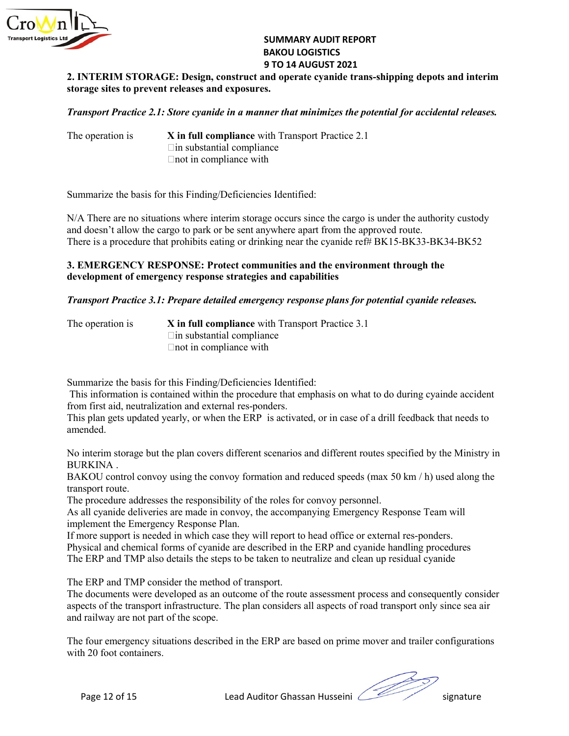

SUMMARY AUDIT REPORT<br>BAKOU LOGISTICS<br>9 TO 14 AUGUST 2021<br>ind operate cyanide trans-shipping depots and interim<br>s. SUMMARY AUDIT REPORT<br>BAKOU LOGISTICS<br>9 TO 14 AUGUST 2021<br>und operate cyanide trans-shipping depots and interim<br>ss.<br>ner that minimizes the potential for accidental releases. SUMMARY AUDIT REPORT<br>BAKOU LOGISTICS<br>9 TO 14 AUGUST 2021<br>nd operate cyanide trans-shipping depots and interim<br>s.<br>ner that minimizes the potential for accidental releases.<br>id: Transport Prostice 2.1 SUMMARY AUDIT REPORT<br>
BAKOU LOGISTICS<br>
2. INTERIM STORAGE: Design, construct and operate cyanide trans-shipping depots and interim<br>
storage sites to prevent releases and exposures.<br> *Transport Practice 2.1: Store cyanide i* SUMMARY AUDIT REPORT<br>
BAKOU LOGISTICS<br>
9 TO 14 AUGUST 2021<br>
2. INTERIM STORAGE: Design, construct and operate cyanide trans-shipping depots and interim<br>
storage sites to prevent releases and exposures.<br>
Transport Practice SUMMARY AUDIT REPORT<br>
BAKOU LOGISTICS<br>
9 TO 14 AUGUST 2021<br>
E: Design, construct and operate cyanide trans-shipping depots and interim<br>
releases and exposures.<br>
Store cyanide in a manner that minimizes the potential for ac **SUMMARY AUDIT REPORT<br>
BAKOU LOGISTICS<br>
STO 14 AUGUST 2021<br>
E: Design, construct and operate cyanide trans-shipping depots and interim<br>
releases and exposures.<br>
Store cyanide in a manner that minimizes the potential for a** 

SUMMARY AUDIT REPORT<br>
BAKOU LOGISTICS<br>
2. INTERIM STORAGE: Design, construct and operate cyanide trans-shipping depots and interim<br>
storage sites to prevent releases and exposures.<br>
Transport Practice 2.1: Store cyanide in SUMMARY AUDIT REPORT<br>
BAKOU LOGISTICS<br>
9 TO 14 AUGUST 2021<br>
2. INTERIM STORAGE: Design, construct and operate cyanide trans-shipping depots and interim<br>
storage sites to prevent releases and exposures.<br>
Transport Practice

SUMMARY AUDIT REPORT<br>
BAKOU LOGISTICS<br>
9 TO 14 AUGUST 2021<br>
Storage sites to prevent releases and exposures.<br>
Transport Practice 2.1: Store cyanide in a manner that minimizes the potential for accidental releases.<br>
The ope SUMMARY AUDIT REPORT<br>
BAKOU LOGISTICS<br>
2. INTERIM STORAGE: Design, construct and operate cyanide trans-shipping depots and interim<br>
storage sites to prevent releases and exposures.<br>
Transport Practice 2.1: Store cyanide in **EXECUTE:**<br> **EXECUTE:**<br> **EXECUTE:**<br> **EXECUTE ALLOWSTON STORAGE:**<br> **EXECUTE ALLOWSTON AND DESSE AND LOGISTICS**<br> **EXECUTE ALLOWSTON AND STORAGE:**<br> **EXECUTE AND STORAGE:**<br> **Pransport Practice 2.1:** Store cyanide in a manner t **THERENT STORAGE:** Design, construct and operate cyanide trans-shipping depots and interim<br>
2. INTERIM STORAGE: Design, construct and operate cyanide trans-shipping depots and interim<br>
storage sites to prevent releases and 3. EXTERN STORAGE: Design, construct and operate cyanide trans-shipping depots and interim<br>3. INTERIM STORAGE: Design, construct and operate cyanide trans-shipping depots and interim<br>storage sites to prevent releases and e **EXERUAL STORAGE:** Design, construct and operate cyanide trans-shipping depots and interim<br> **EXERUAL STORAGE:** Design, construct and operate cyanide trans-shipping depots and interim<br>
storage sites to prevent releases and **EXERUM STORAGE: Design, construct and operate cyanide trans-shipping depots and interim<br>
storage sites to prevent releases and exposures.<br>
Transport Practice 2.1: Store cyanide in a manner that minimizes the potential fo Transport Practice 2.1: Store cyanide in a manner that minimizes the potential for accidental releases.**<br>
The operation is X in full compliance with Transport Practice 2.1<br>
The operation is X in full compliance with Tran Store cyanide in a manner that minimizes the potential for accidental releases.<br>
X in full compliance with Transport Practice 2.1<br>  $\Box$ in substantial compliance<br>  $\Box$  in substantial compliance with<br>  $\Box$  compliance with<br> **Store cyanide in a manner that minimizes the potential for accidental releases.**<br> **X** in full compliance with Transport Practice 2.1<br>
Elin substantial compliance<br>
Elinot in compliance with<br>
this Finding/Deficiencies Ident Fin substantial compliance<br>
Summarize the basis for this Finding/Deficiencies Identified:<br>
N/A There are no situations where interim storage occurs since the cargo is under the authority custody<br>
and doesn't allow the car Finot in compliance with<br>
SI/A There are no situations where interim storage occurs since the cargo is under the authority custody<br>
SI/A There are no situations where interim storage occurs since the cargo is under the aut Summarize the basis for this Finding/Deficiencies Identified:<br>
N/A There are no situations where interim storage occurs since the cargo is under the authority eustody<br>
and doesn't allow the cargo to park or be sent anywher Summarize the basis for this Finding/Deficiencies Identified:<br>
N/A There are no situations where interim storage occurs since the cargo is under the authority custody<br>
and doesn't allow the cargo to park or be sent anywher N/A There are no situations where interim storage occurs since the cargo is under the authority custody<br>
and doosa't allow the cargo to park or be sent anywhere apart from the approved route.<br>
There is a procedure that pro

and doesn't allow the cargo to park or be sent anywhere apart from the approved route<br>There is a procedure that prohibits eating or drinking near the cyanide ref# BK15-BK3<br>
3. EMERGENCY RESPONSE: Protect communities and th There is a procedure that prohibits eating or drinking near the cyanide ref# BK15-BK33-BK34-BK52<br> **3. EMERGENCY RESPONSE: Protect communities and the environment through the**<br> **development of emergency response strategies 3. EMERGENCY RESPONSE:** Protect communities and the environment thre<br>development of emergency response strategies and capabilities<br>Transport Practice 3.1: Prepare detailed emergency response plans for potential c<br>The ope

amended.

**3. EMERGENCY RESPONSE:** Protect communities and the environment through the<br>development of emergency response strategies and capabilities<br>
Transport Practice 3.1: Prepare detailed emergency response plans for potential c development of emergency response strategies and capabilities<br> **Transport Practice 3.1: Prepare detailed emergency response plans for potential cyanide releases.**<br>
The operation is<br>  $\begin{array}{rcl}\n\text{X in full compliance with Transport Practice 3.1} \\
\text{In this unshartial completion}\n\$ **Transport Practice 3.1: Prepare detailed emergency response plans for potential cyanide releases.**<br>The operation is<br>  $\blacksquare$  **im** substantial compliance with Transport Practice 3.1<br>  $\blacksquare$  **Emergency** and **Emergency** comp **Transport Practice 3.1: Prepare detailed emergency response plans for potential cyanide releases.**<br>The operation is<br> $\frac{1}{2}$  in substantial compliance<br>Contributed in compliance<br>Summarize the basis for this Finding/Defic The operation is<br>  $X$  in full compliance with Transport Practice 3.1<br>  $\Box$  in substantial compliance<br>  $\Box$  and in compliance with<br>
Summarize the basis for this Finding/Deficiencies Identified:<br>
This information is contain This plan gets updated yearly, or when the ERP is activated, or in case of a drill feedbaunended.<br>
No interim storage but the plan covers different scenarios and different routes specified<br>
BOKKINA .<br>
BOKKINA .<br>
BOKKINA .<br>

RKINA control convoy using the convoy formation and reduced speeds (max 50 km  $/$  h) used along the RSU control convoy using the convoy for method and reduced speeds (max 50 km  $/$  h) used along the procedure addresses th The operation is<br>  $X$  in full compliance with Transport Practice 3.1<br>  $\Box$  in substantial compliance<br>  $\Box$  not in compliance with<br>
Summarize the basis for this Finding/Deficiencies Identified:<br>
This information is contain Lnot in compliance with<br>
Elmotizative the basis for this Finding/Deficiencies Identified:<br>
This information is contained within the procedure that emphasis on what to do during cyainde accident<br>
from first aid, neutraliza Summarize the basis for this Finding/Deficiencies Identified:<br>
This information is contained within the procedure that emphasis on what to do during cyainde accident<br>
Thom first aid, neutralization and external res-ponders Summarize the basis for this Finding/Deficiencies Identified:<br>
This information is contained within the procedure that emphasis on what to do during cyainde accident<br>
from first aid, neutralization and external res-ponders Summarize the basis for this Finding/Deficiencies Identified:<br>This information is contained within the procedure that emphasis on what to do during cyainde accident<br>This information is contained within the procedure that from first aid, neutralization and external res-ponders.<br>This plum gets updated yearly, or when the ERP is activated, or in case of a drill feedback that needs to<br>
amended.<br>
No interim storage but the plan covers differen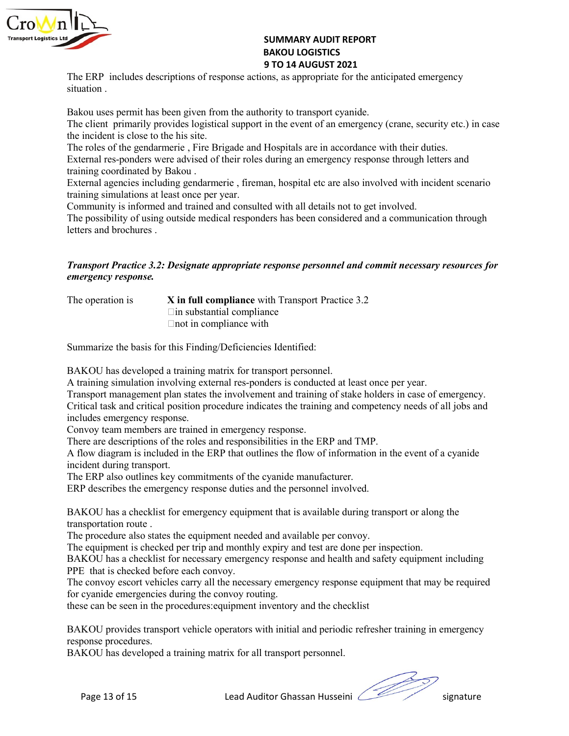

SUMMARY AUDIT REPORT<br>BAKOU LOGISTICS<br>9 TO 14 AUGUST 2021<br>pns, as appropriate for the anticipated emergency SUMMARY AUDIT REPORT<br>BAKOU LOGISTICS<br>9 TO 14 AUGUST 2021<br>ons, as appropriate for the anticipated emergency<br>ority to transport cyanide. SUMMARY AUDIT REPORT<br>BAKOU LOGISTICS<br>9 TO 14 AUGUST 2021<br>ons, as appropriate for the anticipated emergency<br>ority to transport cyanide.<br>in the event of an emergency (crane, security etc.) in case SUMMARY AUDIT REPORT<br>
BAKOU LOGISTICS<br>
9 TO 14 AUGUST 2021<br>
The ERP includes descriptions of response actions, as appropriate for the anticipated emergency<br>
Situation.<br>
The client primarily provides logistical support in t SUMMARY AUDIT REPORT<br>
BAKOU LOGISTICS<br>
9 TO 14 AUGUST 2021<br>
The ERP includes descriptions of response actions, as appropriate for the anticipate<br>
situation .<br>
Bakou uses permit has been given from the authority to transpor

**BAKOU LOGISTICS**<br> **BAKOU LOGISTICS**<br> **BAKOU LOGISTICS**<br> **BAKOU LOGISTICS**<br> **BAKOU LOGISTICS**<br> **BAKOU IDGISTICS**<br> **BAKOU IDGISTICS**<br> **BAKOU USES 2021**<br> **BAKOU USES PERMITE AUTHEM AND SUPPORT CONTAINED FOR THE AUTHORITY OF** SUMMARY AUDIT REPORT<br>
SAKOU LOGISTICS<br>
The ERP includes descriptions of response actions, as appropriate for the anticipated emergency<br>
situation.<br>
Bakou uses permit has been given from the authority to transport cyanide.<br> **SUMMARY AUDIT REPORT**<br> **BAKOU LOGISTICS**<br> **BAKOU LOGISTICS**<br> **BAKOU LOGISTICS**<br> **EXECUTE INTERT IS ANOTE ANOTE AND THE SITE OF THE EXECUTE SERVIBED ON THE SIGN OF THE SIGN OF THE CONDUCT THE CONDUCT THE CONDUCT THE CONDUC THE REP includes descriptions of response actions, as appropriate for the anticipated emergency situation**.<br> **The ERP includes descriptions of response actions, as appropriate for the anticipated emergency situation**.<br> **B External agentions** of response actions, as appropriate for the anticipated emergency<br> **EXERP** includes descriptions of response actions, as appropriate for the anticipated emergency<br>
situation .<br> **External responders bei SUMMARY AUDIT REPORT<br>
BAKOU LOGISTICS**<br> **BAKOU LOGISTICS**<br> **BAKOU LOGISTICS**<br> **BAKOU LOGISTICS**<br> **BAKOU LOGISTICS**<br> **BAKOU LOGISTICS**<br> **BAKOU LOGISTICS**<br> **BAKOU LOGISTICS**<br> **BAKOU LOGISTICS**<br> **BAKOU LOGISTICS**<br> **BAKOU LOG EXTEREM AGENT SUMMARY AUDIT REPORT**<br> **EXERCITED SACULOGISTICS**<br> **EXERCITE:** THE ERP includes descriptions of response actions, as appropriate for the anticipated emergency<br> **EXERCITED SECUTS FOR EXERCITE SCEND WITH INCIDE EXEREM SURFERT SURFACT SURFACT SURFACT STATES SURFACT STATES SURFACT STATES SURFACT STATE STATES STATE STATE SURFACT STATE SURFACT SURFACT THE CHIRE CHIRE CHIRE CHIRE CHIRE CHIRE CHIRE CHIRE CHIRE CHIRE CHIRE CHIRE CHIRE COMMARY AUDIT REPORT**<br> **EXERCT: EXERCT AND ANTENT AND SET AND ANTENT AND SET AND AND SET AND SET AND SET AND SET AND SET AND SET AND SET AND SET AND SET AND SET AND SET AND SET AND SET AND SET AND SET AND SET AND SET AN** The possibility of using outside medical responders has been considered and a communication through **SUMMARY AUDIT REPORT**<br> **SUMMARY AUDIT REPORT**<br> **BAKOU LOGISTICS**<br> **BAKOU LOGISTICS**<br> **TO 14 AUGUST 2021**<br> **ENDENT AUGUST 2021**<br> **ENDENT AUGUST 2021**<br> **ENDENT AUGUST 2021**<br> **ENDENT AUGUST 2021**<br> **CONE AUGUST 2021**<br> **CONE A THERE SET IS THE SET IS THE SET AND TREPORT**<br> **EXECUTES ANNOTE DRIVER SET ANOTE AND LOGISTICS**<br> **TRANSOL USERVERT AND TO ALA AUGUST 2021**<br> **THE EVENT primarily provides logistical support in the event of an emergency (ren EXECUTE:**<br> **EXECUTE:**<br> **EXECUTE:**<br> **EXECUTE:**<br> **EXECUTE:**<br> **EXECUTE:**<br> **EXECUTE:**<br> **EXECUTE:**<br> **EXECUTE:**<br> **EXECUTE:**<br> **EXECUTE:**<br> **EXECUTE:**<br> **EXECUTE:**<br> **EXECUTE:**<br> **EXECUTE:**<br> **EXECUTE:**<br> **EXECUTE:**<br> **EXECUTE:**<br> **EXECU** 9 **370 14 AUGUST 2021**<br>
The ERP includes descriptions of response actions, as appropriate for the anticipated energency<br>
situation .<br>
Hakou uses permit has been given from the authority to transport cyanide.<br>
The client pr iptions of response actions, as appropriate for the anticipated emergency<br>
een given from the authority to transport cyanide.<br>
wides logistical support in the event of an emergency (crane, security etc.) in case<br>
ie his si complete the authority to transport cyanide.<br>
See his site.<br>
ivides logistical support in the event of an emergency (crane, security etc.) in case<br>
the his site.<br>
Increase the interpretation and Hospitals are in accordance Bakou uses permit has been given from the authority to transport cyanide.<br>The elient primarily provides logistical support in the event of an energency (crane, security etc.) in case<br>the incident is close of the gendametri the incident is close to the his site.<br>The relies site.<br>The relies of the gendamentic , Fire Brigade and Hospitals are in accordance with their duties.<br>Training coordinated by Fakou .<br>
Training condinated by Fakou .<br>
Exter The roles of the gendarmeric , Fire Brigade and Hospitals are in accordance with their dutiest<br>
External res-ponders were advised of their roles during an ennergency response through letters and<br>
External agencies includin

| The operation is | X in full compliance with Transport Practice 3.2 |
|------------------|--------------------------------------------------|
|                  | $\Box$ in substantial compliance                 |
|                  | $\Box$ not in compliance with                    |

External res-ponders were advised of their roles during an emergency response through letters and<br>
External agencies including gendarmeric , fireman, hospital etc are also involved with incident scenario<br>
training simulati training coordinated by Bakou.<br>
External agencies including gendarmerie , fireman, hospital etc are also involved with incident scenario<br>
Community is informed and trained and consulted with all details not to get involved External agencies including gendarmerie, fireman, hospital etc are also involved with incident<br>training simulations at least once per year.<br>
Community is informed and trained and consulted with all details not to get invol training simulations at least once per year.<br>
Community is informed and trained and consulted with all details not to get involved.<br>
Che possibility of using outside medical responders has been considered and a communicati Community is informed and trained and consulted with all details not to get involved.<br>The possibility of using outside medical responders has been considered and a communication through<br>teletrs and brochures .<br>
<br> **Transpor** The possibility of using outside medical responders has been considered and a communication through<br> **Example 11.1**<br> **Transport Practice 3.2: Designate appropriate response personnel and commit necessary resources for<br>
Th** letters and brochures.<br> **Transport Practice 3.2: Designate appropriate response personnel and commit necessar,<br>
emergency response.**<br>
The operation is<br>  $\begin{array}{l}\n\text{Lip} & \text{Lip} \\
\text{Lip} & \text{substatinal} \\
\text{Lip} & \text{substatinal} \\
\text{Lip} & \text{substatinal} \\
\text$ **Transport Practice 3.2: Designate appropriate response personnel and commit necessary resources for emergency response.**<br>The operation is<br>The substantial compliance with Transport Practice 3.2<br>Contrinsulation involving ex **Transport Practice 3.2: Designate appropriate response personnel and commit necessary resources for<br>
emergency response.**<br>
The operation is<br>  $\blacksquare$  In full compliance with Transport Practice 3.2<br>  $\blacksquare$  In funl complianc **Example 19 The substantial compliance with Transport Practice 3.2**<br>
Fin substantial compliance<br>
Enot in compliance with<br>
Summarize the basis for this Finding/Deficiencies Identified:<br>
BAKOU has developed a training matrix The operation is<br> **X** in full compliance with Transport Practice 3.2<br>
In substantial compliance<br>
In substantial compliance<br>
In substantial compliance<br>
Summarize the basis for this Finding/Deficiencies Identified:<br>
BAKOU ha The operation is<br>
The substantial compliance with Transport Practice 3.2<br>
That in compliance<br>
That in compliance with<br>
Summarize the basis for this Finding/Deficiencies Identified:<br>
BAKOU has developed a training matrix fo <p>\n ∃ In substantial compliance which\n ∑... for this finding Theificicories identified:\n BAKOU has developed a training matrix for transport personnel.\n A training simulation involving external response of a training matrix is conducted at least once per year.\n Transport management plan states the involvement and training of stake holder is a case of emergency.\n Tramsport management plan states the involvement and training of stake holder is a case of emergency.\n Convoy team members are trained in emerging, and completely needs of all jobs and include\n image. There are describing a included in the ERP that outlines the HNP and TMP.\n A IOM diagram is included in the ERP that outlines the flow of information in the event of a cyanide\n incident during transport of the roles and responsibility to be done with a relatively common\n in the ERP also outlines key commitments of the cyanide manufacturer.\n ERP described per trip and monthly varying at least one per inspection. The group of the same part Finot in compliance with<br>
BAKOU has developed a training matrix for transport personnel.<br>
A Knining simulation involving external res-ponders is conducted at least once per year.<br>
A training of stake modelers in conservers Summarize the basis for this Finding/Deficiencies Identified:<br>
BAKOU has developed a training matrix for transport personnel.<br>
A training simulation involving external res-ponders is conducted at least once per year.<br>
Tran Summarize the basis for this Finding/Deficiencies Identified:<br>
HAKOU has developed a training matrix for transport personnel.<br>
A training simulation involving external res-ponders is conducted at least once per year.<br>
A Tr BAKOU has developed a training matrix for transport personnel.<br>A training simulation involving external res-ponders is conducted at least once per year.<br>Transport management plan states the involvenent and training of stak BAKOU has developed a training matrix for transport personnel.<br>A training simulation involving external tra-yonders is conducted at least once cry rear.<br>A training of stake and critical position procedure indicates the tra Transport management plan states the involvement and training of stake holders in case of emergency.<br>Critical task and critical position procedure indicates the training and competency needs of all jobs and<br>choicely team m

Critical task and critical position procedure indicates the training and competency n<br>includes emergency response.<br>Convoy team members are trained in emergency response.<br>Convoy team members are trained in emergency respons

dent during transport.<br>
FRP also outlines key commitments of the cyanide manufacturer.<br>
Perseribes the emergency response duties and the personnel involved.<br>
KOU has a checklist for emergency equipment that is available du includes emergency response.<br>
Convoy team members are trained in emergency response.<br>
Convoy team members are trained in the ERP that outlines the BNP and TMP.<br>
There are descriptions of the roles and responsibilities in t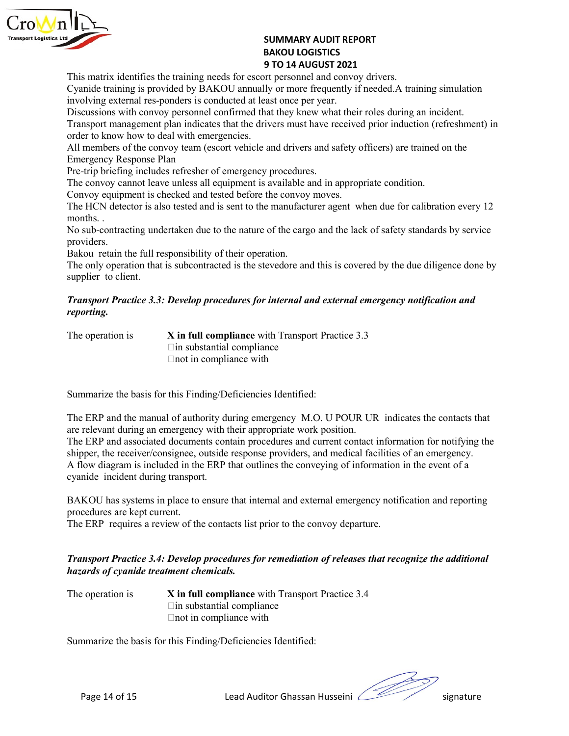

SUMMARY AUDIT REPORT<br>BAKOU LOGISTICS<br>9 TO 14 AUGUST 2021<br>prt personnel and convoy drivers.<br>ly or more frequently if needed. A training simulation<br>ast once per year. SUMMARY AUDIT REPORT<br>BAKOU LOGISTICS<br>9 TO 14 AUGUST 2021<br>prt personnel and convoy drivers.<br>Ily or more frequently if needed. A training simulation<br>east once per year.<br>nat they knew what their roles during an incident. SUMMARY AUDIT REPORT<br>BAKOU LOGISTICS<br>9 TO 14 AUGUST 2021<br>rt personnel and convoy drivers.<br>ly or more frequently if needed.A training simulation<br>aast once per year.<br>nat they knew what their roles during an incident.<br>ivers m SUMMARY AUDIT REPORT<br>
BAKOU LOGISTICS<br>
9 TO 14 AUGUST 2021<br>
This matrix identifies the training needs for escort personnel and convoy drivers.<br>
Cyanide training is provided by BAKOU annually or more frequently if needed. A

SUMMARY AUDIT REPORT<br> **EXECUTE:** STO 14 AUGUST 2021<br>
This matrix identifies the training needs for escort personnel and convoy drivers.<br>
Cyanide training is provided by BAKOU annually or more frequently if needed.A trainin **EXECUTE:**<br> **EXECUTE:**<br> **EXECUTE:**<br> **EXECUTE ANOTE DESCUTE SANCE SONG A POSTAGE SERVICE 2021**<br> **EXECUTE A ALCON CONSTANCE SONGET ASSES**<br>
Cyanide training is provided by BAKOU annually or more frequently if needed. A traini **SUMMARY AUDIT REPORT**<br> **BAKOU LOGISTICS**<br> **Discussion STO 14 AUGUST 2021**<br>
Cyanide training is provided by BAKOU annually or more frequently if needed.<br>A training simulation involving external res-ponders is conducted at **SUMMARY AUDIT REPORT**<br> **EXERCISE THE STAND ISSUES SETTLES**<br> **EXERCIST DRIVER INTERNATE SETTLE DRIVER INTERNATE CONTAINS CONTAINS CONTRATED TO THE CONTROLL CONTROLL CONTROLL CONTROLL CONTROLL CONTROLL CONTROLL CONTROLL CON SUMMARY AUDIT REPORT<br>
SUMMARY AUDIT REPORT**<br> **BAKOU LOGISTICS**<br> **OT 14 AUGUST 2021**<br> **Cyanide training is provided by BAKOU annually or more frequently if needed. A training simulation<br>
involving external res-ponders is c Example the convoy entity of the convoy term (escort vehicle)**<br> **All members of the convoy term** (escort personnel and convoy drivers.<br>
This matrix identing is provided by BAKOU anoually or more frequently if needed. A tr **EXECT:**<br> **EXECT:**<br> **EXECT:**<br> **EXECT:**<br> **EXECT:**<br> **EXECT:**<br> **EXECT:**<br> **EXECT:**<br> **EXECT:**<br> **EXECT:**<br> **EXECT:**<br> **EXECT:**<br> **EXECT:**<br> **EXECT:**<br> **EXECT:**<br> **DESCT:**<br> **DESCT:**<br> **DESCT:**<br> **DESCT:**<br> **DESCT:**<br> **DESCT:**<br> **DESCT:**<br> **D THE SET ASSEM CONCIDENT SUMMARY AUDIT REPORT**<br> **EXERCT SET ASSEMUTE AND CONVEX**<br> **Convoy diverses**<br>
Cyanide training is provided by BAKOU annually or more frequently if needed.<br>A training simulation involving external res **SUMMARY AUDIT REPORT<br>
BAKOU LOGISTICS**<br> **Convoy the SUMMARY AUDIT REPORT**<br>
This matrix identifies the training needs for escort personnel and convoy drivers.<br>
Cyanide training is provided by BAKOU annually or more frequen **SUMMARY AUDIT REPORT**<br> **EXERCT DESCRIBENT CONT CONTEXT AND STAND CONTEXT CONTEXT CONTEXT CONTEXT CONTERTS CONTEXT CONTEST CONTEXT CONTEXT CONTEXT CONTEXT CONTEXT CONTEXT CONTEXT CONTEXT CONTEXT CONTEXT CONTEXT CONTEXT CON SUMMARY AUDIT REPORT<br>
BAKOU LOGISTICS**<br>
This matrix identifies the training needs for escort personnel and convoy drivers.<br>
Cyanide training is provided by BAKOU amually or more frequently if needed.<br>A training simulation **Example 12**<br> **BAKOU LOGISTICS**<br> **BAKOU LOGISTICS**<br> **BAKOU COGISTICS**<br> **BAKOU COGISTICS**<br> **BAKOU COGISTICS**<br> **Example training is provided by BAKOU amually or more frequently if needed. A training simulation<br>
involving ext SUMMARY AUDIT REPORT<br>
BAKOU LOGISTICS<br>
BAKOU LOGISTICS<br>
TO TO 14 AUGUST 2021<br>
Cyanide training simvoled by BAKOU annally or more frequently if needed.<br>A training simulation Cyanide training is provided by BAKOU annually o** personnel confirmed that they knew what their roles during an incident.<br>Main indicates that the dirvers must have received prior induction (refreshment) in<br>al with emergencies.<br>The diverse must have received prior inductio slan indicates that the drivers must have received prior induction (refreshment) in<br>al with emergencies.<br>A viology team (escort vehicle and drivers and safety officers) are trained on the<br>an<br>an<br>move test reference with el

**EMALLE SET ASSESS SUMMARY AUDIT REPORT**<br> **EMALLE SET AND ANTER SET AND STAND STAND STAND STAND STAND AND STAND AND STAND STAND CONDUCT SUSPAINED USING CONTROLLY AND AN EXPLORED SUSPAINED SUSPAINED SUSPAINED THE SUSPAINED SUMMARY AUDIT REPORT**<br> **BAKOU LOGISTICS**<br> **BAKOU LOGISTICS**<br> **BAKOU LOGISTICS**<br> **BAKOU LOGISTICS**<br> **DISPONEMBENT AND ANCE AND ANCE TO A AUGUST 2021**<br>
Involving external responders is conducted at least once or yerser.<br>
Di

providers.

## **SUMMARY AUDIT REPORT**<br> **SUMMARY AUDIT REPORT**<br> **BAKOU LOGISTICS**<br> **SURGOU LOGISTICS**<br> **SURGOU ACTION AND ANTEL CONSTICATES**<br>
Cyanide training is provided by BAKOU annually or more frequently if needed. A train<br>
involving reporting.

**This matrix identifies the training needs for essert personnel and convoy drivers.**<br>Cyanide training is provided by BAKOU amoundly or more frequently if needed.A training simulation involving extenal res-ponder is conduc involving external res-ponders is conducted at least once per year.<br>Discussions with convoy personnel confirmed that they knew what their roles during an incident.<br>Discussions with convoy team diffull complicate that we re Emergency Response Plan<br>
The convoy examples increase Plan<br>
The trein pirefing includes refresher of emergency procedures.<br>
The convoy equipment is obecked and is sent to the manufacturer agent when due for calibration eve

The convoy cannot leave unless all equipment is available and in appropriate condition.<br>
Convoy equipment is checked and tested to the convoy moves.<br>
The HCN detector is also tested and tis sent to the manufacturer agent Convoy equipment is checked and tested before the convoy moves.<br>
The HCN detector is also tested and is sent to the manufacturer agent when due for sailbration every 12<br>
The HCN detector is also tested and is sent to the m The HCN detector is also tested and is sent to the manufacturer agent when due for calibration every 12<br>nonsths...<br>No sub-contracting undertaken due to the nature of the cargo and the lack of safety standards by service<br>pr months.<br>
Show receiver all the receiver of the cargo and the lack of safety standards by service<br>
providers.<br>
Bakun retain the full responsibility of their operation.<br>
The only operation that is subcontracted is the stevel No sub-contracting undertaken due to the nature of the cargo and the lack of safety standards by service<br>
Hakou retain the full responsibility of their operation.<br>
The only operation that is subcontracted is the stevedore providers.<br>
Blakou retain the full responsibility of their operation.<br>
Blakou retain the full responsibility of their operation.<br>
The only operation that is subcontracted is the stevedore and this is covered by the due dil The only operation that is subcontracted is the stevedore and this is covered by the due diligence done by<br> **Transport Practice 3.3: Develop procedures for internal and external emergency notification and<br>
reporting.<br>
The** supplier to client.<br> **Transport Practice 3.3: Develop procedures for internal and external emergency notification**<br>
reporting.<br>
The operation is<br>
X in full compliance with Transport Practice 3.3<br>
In substantial compliance<br> **Transport Practice 3.3: Develop procedures for internal and external emergency notification and<br>reporting.<br>The operation is<br>** $\sum_{i=1}^{n}$  **in full compliance with Transport Practice 3.3<br>** $\sum_{i=1}^{n}$  **in full compliance with** The operation is<br>  $X$  in full compliance<br>  $\Box$  in substantial compliance<br>  $\Box$  in substantial compliance<br>  $\Box$  in a compliance with<br>
Summarize the basis for this Finding/Deficiencies Identified:<br>
The ERP and the manual of The operation is<br>  $X$  in full compliance with Transport Practice 3.3<br>  $\Box$  in substantial compliance<br>  $\Box$  Thot in compliance<br>  $\Box$  Thot in compliance<br>
Summarize the basis for this Finding/Deficiencies Identified:<br>
The ER From the compliance with<br>
Summarize the basis for this Finding/Deficiencies Identified:<br>
The ERP and the manual of authority during emergency M.O. U POUR UR indicates the contacts that<br>
are relevant during an emergency wi this Finding/Deficiencies Identified:<br>
of authority during emergency M.O. U POUR UR indicates the contacts that<br>
nergency with their appropriate work position.<br>
documents contain procedures and current contact information this Finding/Deficiencies Identified:<br>
I of authority during emergency M.O. U POUR UR indicates the contacts that<br>
nergency with their appropriate work position.<br>
documents contain procedures and current contact informatio The ERP and the manual of authority during emergency M.O. U POUR UR indicates the contacts that<br>are relevant during an emergency with their appropriate work position.<br>The FRP and associated documents contain procedures and

# Iow diagram is included in the ERP that outlines the conveying of information in the event of a<br>
Finder included in the ERP requires are kept current.<br>
KOU has systems in place to ensure that internal and external emergenc